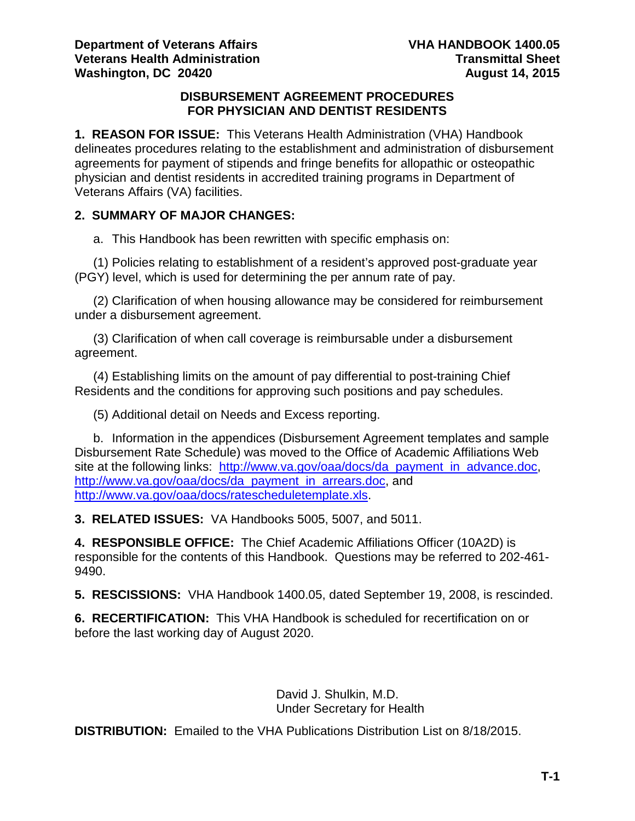#### **DISBURSEMENT AGREEMENT PROCEDURES FOR PHYSICIAN AND DENTIST RESIDENTS**

**1. REASON FOR ISSUE:** This Veterans Health Administration (VHA) Handbook delineates procedures relating to the establishment and administration of disbursement agreements for payment of stipends and fringe benefits for allopathic or osteopathic physician and dentist residents in accredited training programs in Department of Veterans Affairs (VA) facilities.

# **2. SUMMARY OF MAJOR CHANGES:**

a. This Handbook has been rewritten with specific emphasis on:

(1) Policies relating to establishment of a resident's approved post-graduate year (PGY) level, which is used for determining the per annum rate of pay.

(2) Clarification of when housing allowance may be considered for reimbursement under a disbursement agreement.

(3) Clarification of when call coverage is reimbursable under a disbursement agreement.

(4) Establishing limits on the amount of pay differential to post-training Chief Residents and the conditions for approving such positions and pay schedules.

(5) Additional detail on Needs and Excess reporting.

b. Information in the appendices (Disbursement Agreement templates and sample Disbursement Rate Schedule) was moved to the Office of Academic Affiliations Web site at the following links: [http://www.va.gov/oaa/docs/da\\_payment\\_in\\_advance.doc,](http://www.va.gov/oaa/docs/da_payment_in_advance.doc) [http://www.va.gov/oaa/docs/da\\_payment\\_in\\_arrears.doc,](http://www.va.gov/oaa/docs/da_payment_in_arrears.doc) and [http://www.va.gov/oaa/docs/ratescheduletemplate.xls.](http://www.va.gov/oaa/docs/ratescheduletemplate.xls)

**3. RELATED ISSUES:** VA Handbooks 5005, 5007, and 5011.

**4. RESPONSIBLE OFFICE:** The Chief Academic Affiliations Officer (10A2D) is responsible for the contents of this Handbook. Questions may be referred to 202-461- 9490.

**5. RESCISSIONS:** VHA Handbook 1400.05, dated September 19, 2008, is rescinded.

**6. RECERTIFICATION:** This VHA Handbook is scheduled for recertification on or before the last working day of August 2020.

> David J. Shulkin, M.D. Under Secretary for Health

**DISTRIBUTION:** Emailed to the VHA Publications Distribution List on 8/18/2015.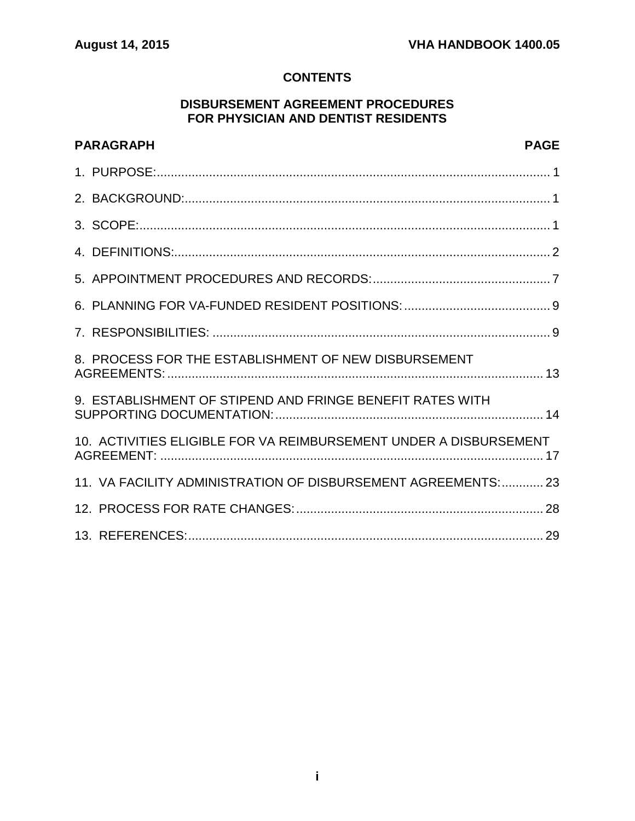# **CONTENTS**

### **DISBURSEMENT AGREEMENT PROCEDURES FOR PHYSICIAN AND DENTIST RESIDENTS**

| <b>PAGE</b><br><b>PARAGRAPH</b>                                   |  |
|-------------------------------------------------------------------|--|
|                                                                   |  |
|                                                                   |  |
|                                                                   |  |
|                                                                   |  |
|                                                                   |  |
|                                                                   |  |
|                                                                   |  |
| 8. PROCESS FOR THE ESTABLISHMENT OF NEW DISBURSEMENT              |  |
| 9. ESTABLISHMENT OF STIPEND AND FRINGE BENEFIT RATES WITH         |  |
| 10. ACTIVITIES ELIGIBLE FOR VA REIMBURSEMENT UNDER A DISBURSEMENT |  |
| 11. VA FACILITY ADMINISTRATION OF DISBURSEMENT AGREEMENTS: 23     |  |
|                                                                   |  |
|                                                                   |  |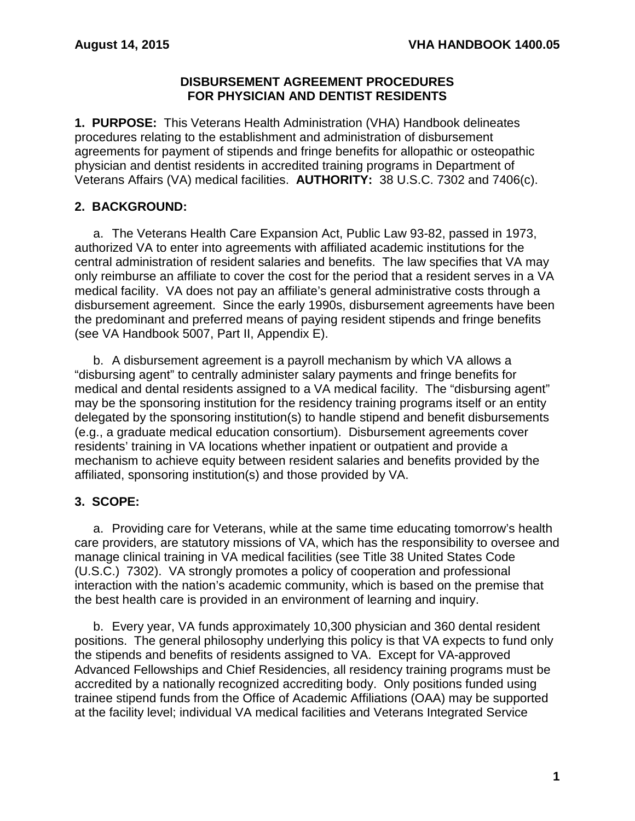#### **DISBURSEMENT AGREEMENT PROCEDURES FOR PHYSICIAN AND DENTIST RESIDENTS**

<span id="page-2-0"></span>**1. PURPOSE:** This Veterans Health Administration (VHA) Handbook delineates procedures relating to the establishment and administration of disbursement agreements for payment of stipends and fringe benefits for allopathic or osteopathic physician and dentist residents in accredited training programs in Department of Veterans Affairs (VA) medical facilities. **AUTHORITY:** 38 U.S.C. 7302 and 7406(c).

# <span id="page-2-1"></span>**2. BACKGROUND:**

a. The Veterans Health Care Expansion Act, Public Law 93-82, passed in 1973, authorized VA to enter into agreements with affiliated academic institutions for the central administration of resident salaries and benefits. The law specifies that VA may only reimburse an affiliate to cover the cost for the period that a resident serves in a VA medical facility. VA does not pay an affiliate's general administrative costs through a disbursement agreement. Since the early 1990s, disbursement agreements have been the predominant and preferred means of paying resident stipends and fringe benefits (see VA Handbook 5007, Part II, Appendix E).

b. A disbursement agreement is a payroll mechanism by which VA allows a "disbursing agent" to centrally administer salary payments and fringe benefits for medical and dental residents assigned to a VA medical facility. The "disbursing agent" may be the sponsoring institution for the residency training programs itself or an entity delegated by the sponsoring institution(s) to handle stipend and benefit disbursements (e.g., a graduate medical education consortium). Disbursement agreements cover residents' training in VA locations whether inpatient or outpatient and provide a mechanism to achieve equity between resident salaries and benefits provided by the affiliated, sponsoring institution(s) and those provided by VA.

# <span id="page-2-2"></span>**3. SCOPE:**

a. Providing care for Veterans, while at the same time educating tomorrow's health care providers, are statutory missions of VA, which has the responsibility to oversee and manage clinical training in VA medical facilities (see Title 38 United States Code (U.S.C.) 7302). VA strongly promotes a policy of cooperation and professional interaction with the nation's academic community, which is based on the premise that the best health care is provided in an environment of learning and inquiry.

b. Every year, VA funds approximately 10,300 physician and 360 dental resident positions. The general philosophy underlying this policy is that VA expects to fund only the stipends and benefits of residents assigned to VA. Except for VA-approved Advanced Fellowships and Chief Residencies, all residency training programs must be accredited by a nationally recognized accrediting body. Only positions funded using trainee stipend funds from the Office of Academic Affiliations (OAA) may be supported at the facility level; individual VA medical facilities and Veterans Integrated Service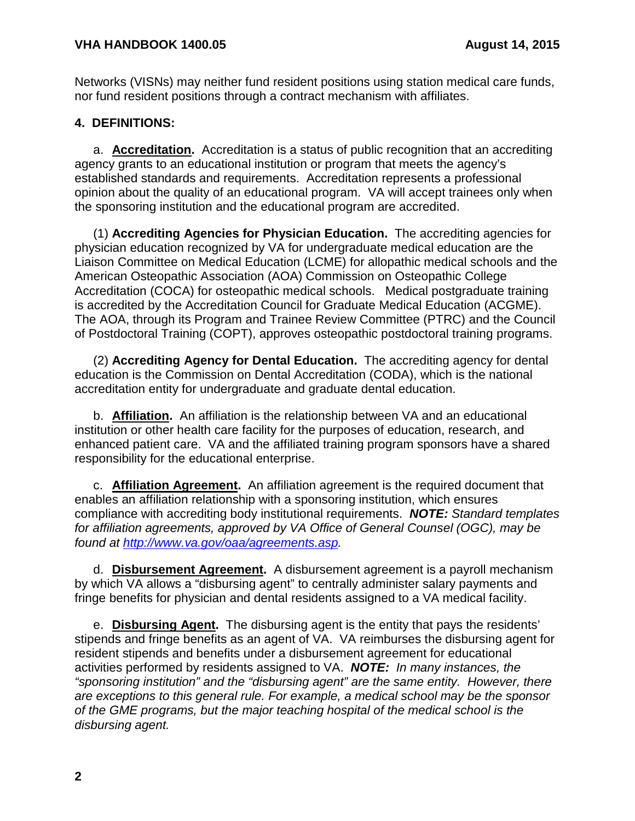Networks (VISNs) may neither fund resident positions using station medical care funds, nor fund resident positions through a contract mechanism with affiliates.

### <span id="page-3-0"></span>**4. DEFINITIONS:**

a. **Accreditation.** Accreditation is a status of public recognition that an accrediting agency grants to an educational institution or program that meets the agency's established standards and requirements. Accreditation represents a professional opinion about the quality of an educational program. VA will accept trainees only when the sponsoring institution and the educational program are accredited.

(1) **Accrediting Agencies for Physician Education.** The accrediting agencies for physician education recognized by VA for undergraduate medical education are the Liaison Committee on Medical Education (LCME) for allopathic medical schools and the American Osteopathic Association (AOA) Commission on Osteopathic College Accreditation (COCA) for osteopathic medical schools.Medical postgraduate training is accredited by the Accreditation Council for Graduate Medical Education (ACGME). The AOA, through its Program and Trainee Review Committee (PTRC) and the Council of Postdoctoral Training (COPT), approves osteopathic postdoctoral training programs.

(2) **Accrediting Agency for Dental Education.** The accrediting agency for dental education is the Commission on Dental Accreditation (CODA), which is the national accreditation entity for undergraduate and graduate dental education.

b. **Affiliation.** An affiliation is the relationship between VA and an educational institution or other health care facility for the purposes of education, research, and enhanced patient care. VA and the affiliated training program sponsors have a shared responsibility for the educational enterprise.

c. **Affiliation Agreement.** An affiliation agreement is the required document that enables an affiliation relationship with a sponsoring institution, which ensures compliance with accrediting body institutional requirements. *NOTE: Standard templates for affiliation agreements, approved by VA Office of General Counsel (OGC), may be found at [http://www.va.gov/oaa/agreements.asp.](http://www.va.gov/oaa/agreements.asp)* 

d. **Disbursement Agreement.** A disbursement agreement is a payroll mechanism by which VA allows a "disbursing agent" to centrally administer salary payments and fringe benefits for physician and dental residents assigned to a VA medical facility.

e. **Disbursing Agent.** The disbursing agent is the entity that pays the residents' stipends and fringe benefits as an agent of VA. VA reimburses the disbursing agent for resident stipends and benefits under a disbursement agreement for educational activities performed by residents assigned to VA. *NOTE: In many instances, the "sponsoring institution" and the "disbursing agent" are the same entity. However, there are exceptions to this general rule. For example, a medical school may be the sponsor of the GME programs, but the major teaching hospital of the medical school is the disbursing agent.*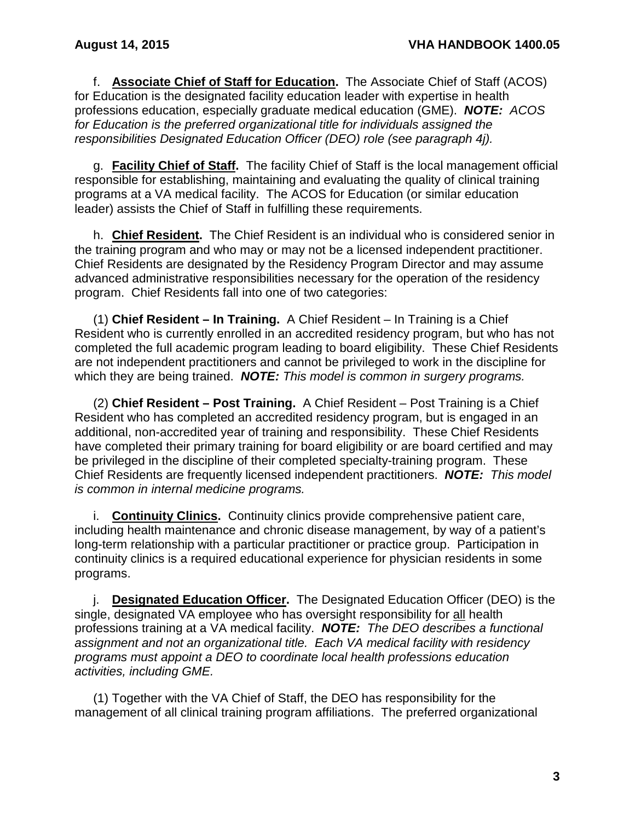f. **Associate Chief of Staff for Education.** The Associate Chief of Staff (ACOS) for Education is the designated facility education leader with expertise in health professions education, especially graduate medical education (GME). *NOTE: ACOS for Education is the preferred organizational title for individuals assigned the responsibilities Designated Education Officer (DEO) role (see paragraph 4j).*

g. **Facility Chief of Staff.** The facility Chief of Staff is the local management official responsible for establishing, maintaining and evaluating the quality of clinical training programs at a VA medical facility. The ACOS for Education (or similar education leader) assists the Chief of Staff in fulfilling these requirements.

h. **Chief Resident.** The Chief Resident is an individual who is considered senior in the training program and who may or may not be a licensed independent practitioner. Chief Residents are designated by the Residency Program Director and may assume advanced administrative responsibilities necessary for the operation of the residency program. Chief Residents fall into one of two categories:

(1) **Chief Resident – In Training.** A Chief Resident – In Training is a Chief Resident who is currently enrolled in an accredited residency program, but who has not completed the full academic program leading to board eligibility. These Chief Residents are not independent practitioners and cannot be privileged to work in the discipline for which they are being trained. *NOTE: This model is common in surgery programs.*

(2) **Chief Resident – Post Training.** A Chief Resident – Post Training is a Chief Resident who has completed an accredited residency program, but is engaged in an additional, non-accredited year of training and responsibility. These Chief Residents have completed their primary training for board eligibility or are board certified and may be privileged in the discipline of their completed specialty-training program. These Chief Residents are frequently licensed independent practitioners. *NOTE: This model is common in internal medicine programs.*

i. **Continuity Clinics.** Continuity clinics provide comprehensive patient care, including health maintenance and chronic disease management, by way of a patient's long-term relationship with a particular practitioner or practice group. Participation in continuity clinics is a required educational experience for physician residents in some programs.

j. **Designated Education Officer.** The Designated Education Officer (DEO) is the single, designated VA employee who has oversight responsibility for all health professions training at a VA medical facility. *NOTE: The DEO describes a functional assignment and not an organizational title. Each VA medical facility with residency programs must appoint a DEO to coordinate local health professions education activities, including GME.* 

(1) Together with the VA Chief of Staff, the DEO has responsibility for the management of all clinical training program affiliations. The preferred organizational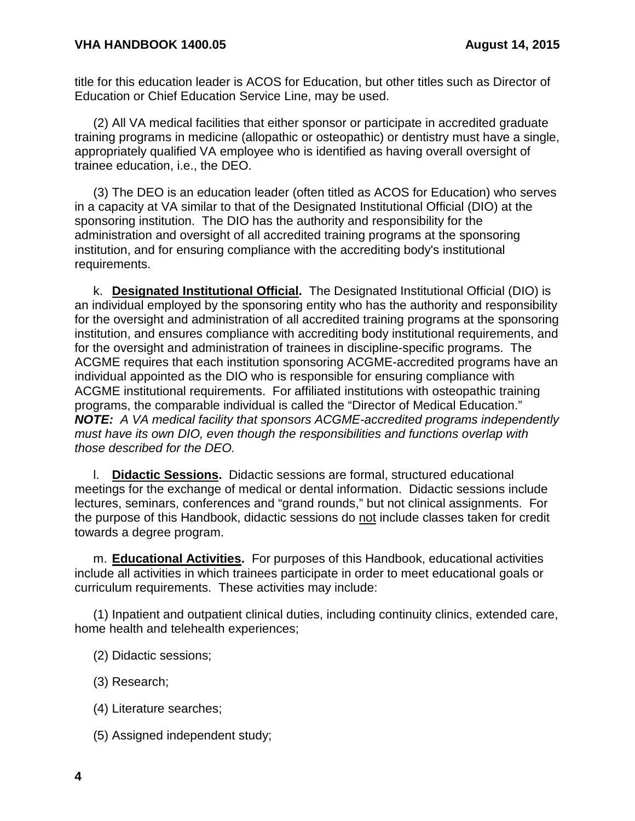title for this education leader is ACOS for Education, but other titles such as Director of Education or Chief Education Service Line, may be used.

(2) All VA medical facilities that either sponsor or participate in accredited graduate training programs in medicine (allopathic or osteopathic) or dentistry must have a single, appropriately qualified VA employee who is identified as having overall oversight of trainee education, i.e., the DEO.

(3) The DEO is an education leader (often titled as ACOS for Education) who serves in a capacity at VA similar to that of the Designated Institutional Official (DIO) at the sponsoring institution. The DIO has the authority and responsibility for the administration and oversight of all accredited training programs at the sponsoring institution, and for ensuring compliance with the accrediting body's institutional requirements.

k. **Designated Institutional Official.** The Designated Institutional Official (DIO) is an individual employed by the sponsoring entity who has the authority and responsibility for the oversight and administration of all accredited training programs at the sponsoring institution, and ensures compliance with accrediting body institutional requirements, and for the oversight and administration of trainees in discipline-specific programs. The ACGME requires that each institution sponsoring ACGME-accredited programs have an individual appointed as the DIO who is responsible for ensuring compliance with ACGME institutional requirements. For affiliated institutions with osteopathic training programs, the comparable individual is called the "Director of Medical Education." *NOTE: A VA medical facility that sponsors ACGME-accredited programs independently must have its own DIO, even though the responsibilities and functions overlap with those described for the DEO.*

l. **Didactic Sessions.** Didactic sessions are formal, structured educational meetings for the exchange of medical or dental information. Didactic sessions include lectures, seminars, conferences and "grand rounds," but not clinical assignments. For the purpose of this Handbook, didactic sessions do not include classes taken for credit towards a degree program.

m. **Educational Activities.** For purposes of this Handbook, educational activities include all activities in which trainees participate in order to meet educational goals or curriculum requirements. These activities may include:

(1) Inpatient and outpatient clinical duties, including continuity clinics, extended care, home health and telehealth experiences;

- (2) Didactic sessions;
- (3) Research;
- (4) Literature searches;
- (5) Assigned independent study;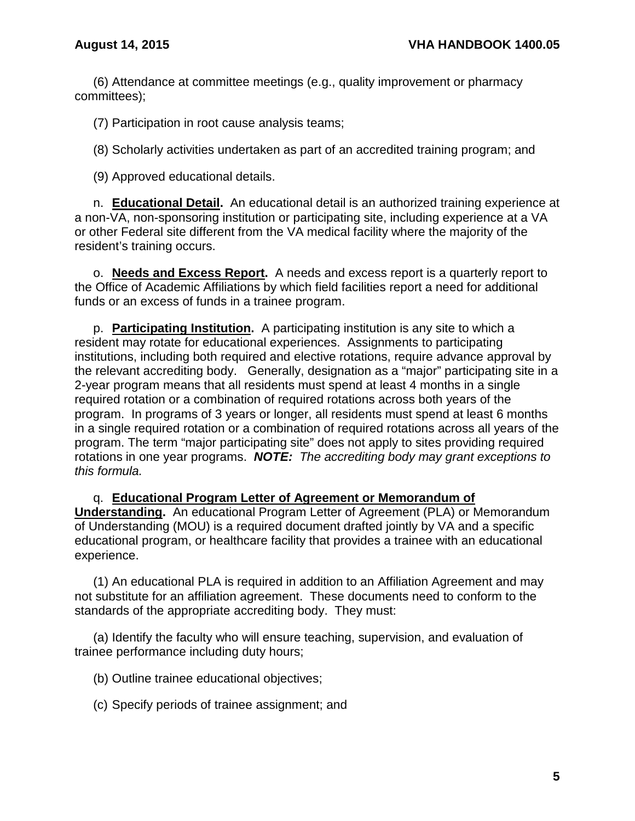(6) Attendance at committee meetings (e.g., quality improvement or pharmacy committees);

(7) Participation in root cause analysis teams;

(8) Scholarly activities undertaken as part of an accredited training program; and

(9) Approved educational details.

n. **Educational Detail.** An educational detail is an authorized training experience at a non-VA, non-sponsoring institution or participating site, including experience at a VA or other Federal site different from the VA medical facility where the majority of the resident's training occurs.

o. **Needs and Excess Report.** A needs and excess report is a quarterly report to the Office of Academic Affiliations by which field facilities report a need for additional funds or an excess of funds in a trainee program.

p. **Participating Institution.** A participating institution is any site to which a resident may rotate for educational experiences. Assignments to participating institutions, including both required and elective rotations, require advance approval by the relevant accrediting body. Generally, designation as a "major" participating site in a 2-year program means that all residents must spend at least 4 months in a single required rotation or a combination of required rotations across both years of the program. In programs of 3 years or longer, all residents must spend at least 6 months in a single required rotation or a combination of required rotations across all years of the program. The term "major participating site" does not apply to sites providing required rotations in one year programs. *NOTE: The accrediting body may grant exceptions to this formula.*

q. **Educational Program Letter of Agreement or Memorandum of Understanding.** An educational Program Letter of Agreement (PLA) or Memorandum of Understanding (MOU) is a required document drafted jointly by VA and a specific educational program, or healthcare facility that provides a trainee with an educational experience.

(1) An educational PLA is required in addition to an Affiliation Agreement and may not substitute for an affiliation agreement. These documents need to conform to the standards of the appropriate accrediting body. They must:

(a) Identify the faculty who will ensure teaching, supervision, and evaluation of trainee performance including duty hours;

(b) Outline trainee educational objectives;

(c) Specify periods of trainee assignment; and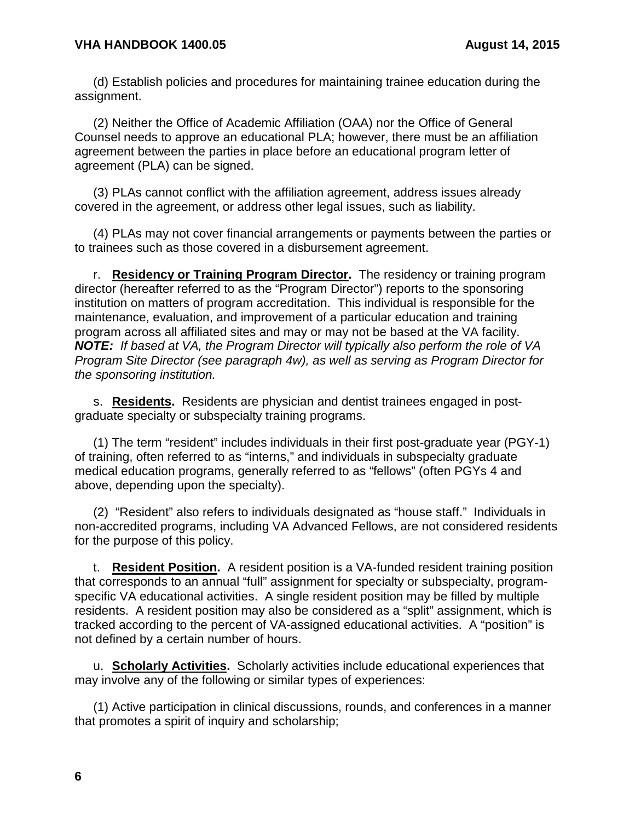(d) Establish policies and procedures for maintaining trainee education during the assignment.

(2) Neither the Office of Academic Affiliation (OAA) nor the Office of General Counsel needs to approve an educational PLA; however, there must be an affiliation agreement between the parties in place before an educational program letter of agreement (PLA) can be signed.

(3) PLAs cannot conflict with the affiliation agreement, address issues already covered in the agreement, or address other legal issues, such as liability.

(4) PLAs may not cover financial arrangements or payments between the parties or to trainees such as those covered in a disbursement agreement.

r. **Residency or Training Program Director.** The residency or training program director (hereafter referred to as the "Program Director") reports to the sponsoring institution on matters of program accreditation. This individual is responsible for the maintenance, evaluation, and improvement of a particular education and training program across all affiliated sites and may or may not be based at the VA facility. *NOTE: If based at VA, the Program Director will typically also perform the role of VA Program Site Director (see paragraph 4w), as well as serving as Program Director for the sponsoring institution.*

s. **Residents.** Residents are physician and dentist trainees engaged in postgraduate specialty or subspecialty training programs.

(1) The term "resident" includes individuals in their first post-graduate year (PGY-1) of training, often referred to as "interns," and individuals in subspecialty graduate medical education programs, generally referred to as "fellows" (often PGYs 4 and above, depending upon the specialty).

(2) "Resident" also refers to individuals designated as "house staff." Individuals in non-accredited programs, including VA Advanced Fellows, are not considered residents for the purpose of this policy.

t. **Resident Position.** A resident position is a VA-funded resident training position that corresponds to an annual "full" assignment for specialty or subspecialty, programspecific VA educational activities. A single resident position may be filled by multiple residents. A resident position may also be considered as a "split" assignment, which is tracked according to the percent of VA-assigned educational activities. A "position" is not defined by a certain number of hours.

u. **Scholarly Activities.** Scholarly activities include educational experiences that may involve any of the following or similar types of experiences:

(1) Active participation in clinical discussions, rounds, and conferences in a manner that promotes a spirit of inquiry and scholarship;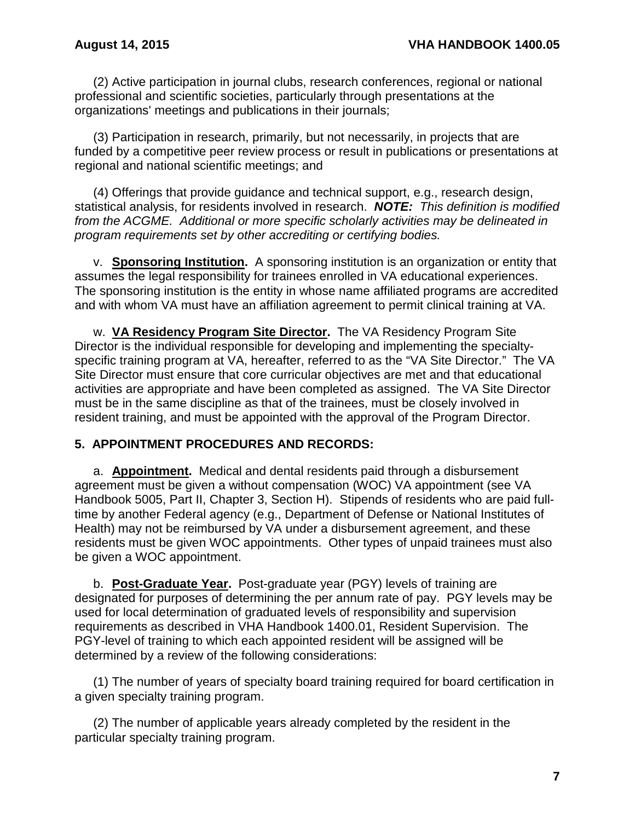(2) Active participation in journal clubs, research conferences, regional or national professional and scientific societies, particularly through presentations at the organizations' meetings and publications in their journals;

(3) Participation in research, primarily, but not necessarily, in projects that are funded by a competitive peer review process or result in publications or presentations at regional and national scientific meetings; and

(4) Offerings that provide guidance and technical support, e.g., research design, statistical analysis, for residents involved in research. *NOTE: This definition is modified from the ACGME. Additional or more specific scholarly activities may be delineated in program requirements set by other accrediting or certifying bodies.*

v. **Sponsoring Institution.** A sponsoring institution is an organization or entity that assumes the legal responsibility for trainees enrolled in VA educational experiences. The sponsoring institution is the entity in whose name affiliated programs are accredited and with whom VA must have an affiliation agreement to permit clinical training at VA.

w. **VA Residency Program Site Director.** The VA Residency Program Site Director is the individual responsible for developing and implementing the specialtyspecific training program at VA, hereafter, referred to as the "VA Site Director." The VA Site Director must ensure that core curricular objectives are met and that educational activities are appropriate and have been completed as assigned. The VA Site Director must be in the same discipline as that of the trainees, must be closely involved in resident training, and must be appointed with the approval of the Program Director.

# <span id="page-8-0"></span>**5. APPOINTMENT PROCEDURES AND RECORDS:**

a. **Appointment.** Medical and dental residents paid through a disbursement agreement must be given a without compensation (WOC) VA appointment (see VA Handbook 5005, Part II, Chapter 3, Section H). Stipends of residents who are paid fulltime by another Federal agency (e.g., Department of Defense or National Institutes of Health) may not be reimbursed by VA under a disbursement agreement, and these residents must be given WOC appointments. Other types of unpaid trainees must also be given a WOC appointment.

b. **Post-Graduate Year.** Post-graduate year (PGY) levels of training are designated for purposes of determining the per annum rate of pay. PGY levels may be used for local determination of graduated levels of responsibility and supervision requirements as described in VHA Handbook 1400.01, Resident Supervision. The PGY-level of training to which each appointed resident will be assigned will be determined by a review of the following considerations:

(1) The number of years of specialty board training required for board certification in a given specialty training program.

(2) The number of applicable years already completed by the resident in the particular specialty training program.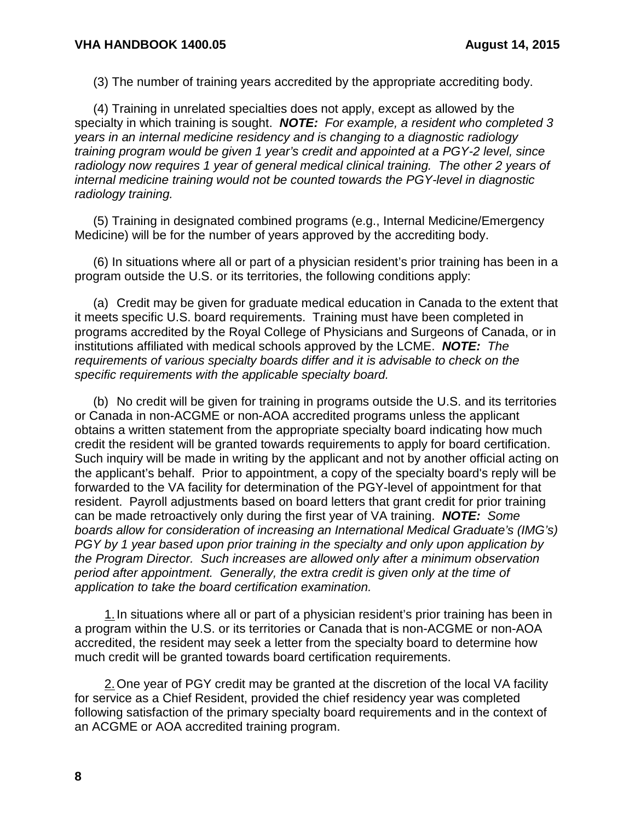(3) The number of training years accredited by the appropriate accrediting body.

(4) Training in unrelated specialties does not apply, except as allowed by the specialty in which training is sought. *NOTE: For example, a resident who completed 3 years in an internal medicine residency and is changing to a diagnostic radiology training program would be given 1 year's credit and appointed at a PGY-2 level, since radiology now requires 1 year of general medical clinical training. The other 2 years of internal medicine training would not be counted towards the PGY-level in diagnostic radiology training.*

(5) Training in designated combined programs (e.g., Internal Medicine/Emergency Medicine) will be for the number of years approved by the accrediting body.

(6) In situations where all or part of a physician resident's prior training has been in a program outside the U.S. or its territories, the following conditions apply:

(a) Credit may be given for graduate medical education in Canada to the extent that it meets specific U.S. board requirements. Training must have been completed in programs accredited by the Royal College of Physicians and Surgeons of Canada, or in institutions affiliated with medical schools approved by the LCME. *NOTE: The requirements of various specialty boards differ and it is advisable to check on the specific requirements with the applicable specialty board.*

(b) No credit will be given for training in programs outside the U.S. and its territories or Canada in non-ACGME or non-AOA accredited programs unless the applicant obtains a written statement from the appropriate specialty board indicating how much credit the resident will be granted towards requirements to apply for board certification. Such inquiry will be made in writing by the applicant and not by another official acting on the applicant's behalf. Prior to appointment, a copy of the specialty board's reply will be forwarded to the VA facility for determination of the PGY-level of appointment for that resident. Payroll adjustments based on board letters that grant credit for prior training can be made retroactively only during the first year of VA training. *NOTE: Some boards allow for consideration of increasing an International Medical Graduate's (IMG's) PGY by 1 year based upon prior training in the specialty and only upon application by the Program Director. Such increases are allowed only after a minimum observation period after appointment. Generally, the extra credit is given only at the time of application to take the board certification examination.*

1. In situations where all or part of a physician resident's prior training has been in a program within the U.S. or its territories or Canada that is non-ACGME or non-AOA accredited, the resident may seek a letter from the specialty board to determine how much credit will be granted towards board certification requirements.

2. One year of PGY credit may be granted at the discretion of the local VA facility for service as a Chief Resident, provided the chief residency year was completed following satisfaction of the primary specialty board requirements and in the context of an ACGME or AOA accredited training program.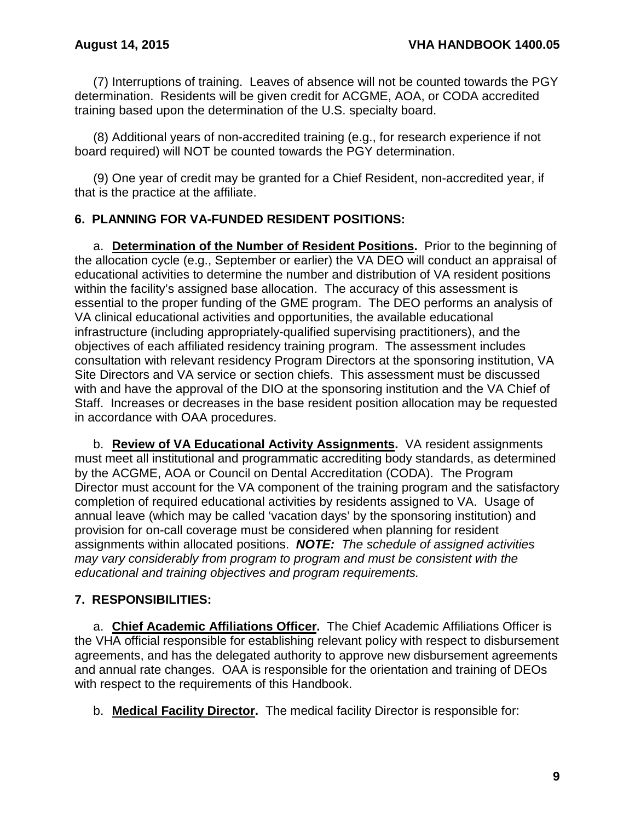(7) Interruptions of training. Leaves of absence will not be counted towards the PGY determination. Residents will be given credit for ACGME, AOA, or CODA accredited training based upon the determination of the U.S. specialty board.

(8) Additional years of non-accredited training (e.g., for research experience if not board required) will NOT be counted towards the PGY determination.

(9) One year of credit may be granted for a Chief Resident, non-accredited year, if that is the practice at the affiliate.

# <span id="page-10-0"></span>**6. PLANNING FOR VA-FUNDED RESIDENT POSITIONS:**

a. **Determination of the Number of Resident Positions.** Prior to the beginning of the allocation cycle (e.g., September or earlier) the VA DEO will conduct an appraisal of educational activities to determine the number and distribution of VA resident positions within the facility's assigned base allocation. The accuracy of this assessment is essential to the proper funding of the GME program. The DEO performs an analysis of VA clinical educational activities and opportunities, the available educational infrastructure (including appropriately-qualified supervising practitioners), and the objectives of each affiliated residency training program. The assessment includes consultation with relevant residency Program Directors at the sponsoring institution, VA Site Directors and VA service or section chiefs. This assessment must be discussed with and have the approval of the DIO at the sponsoring institution and the VA Chief of Staff. Increases or decreases in the base resident position allocation may be requested in accordance with OAA procedures.

b. **Review of VA Educational Activity Assignments.** VA resident assignments must meet all institutional and programmatic accrediting body standards, as determined by the ACGME, AOA or Council on Dental Accreditation (CODA). The Program Director must account for the VA component of the training program and the satisfactory completion of required educational activities by residents assigned to VA. Usage of annual leave (which may be called 'vacation days' by the sponsoring institution) and provision for on-call coverage must be considered when planning for resident assignments within allocated positions. *NOTE: The schedule of assigned activities may vary considerably from program to program and must be consistent with the educational and training objectives and program requirements.*

# <span id="page-10-1"></span>**7. RESPONSIBILITIES:**

a. **Chief Academic Affiliations Officer.** The Chief Academic Affiliations Officer is the VHA official responsible for establishing relevant policy with respect to disbursement agreements, and has the delegated authority to approve new disbursement agreements and annual rate changes. OAA is responsible for the orientation and training of DEOs with respect to the requirements of this Handbook.

b. **Medical Facility Director.** The medical facility Director is responsible for: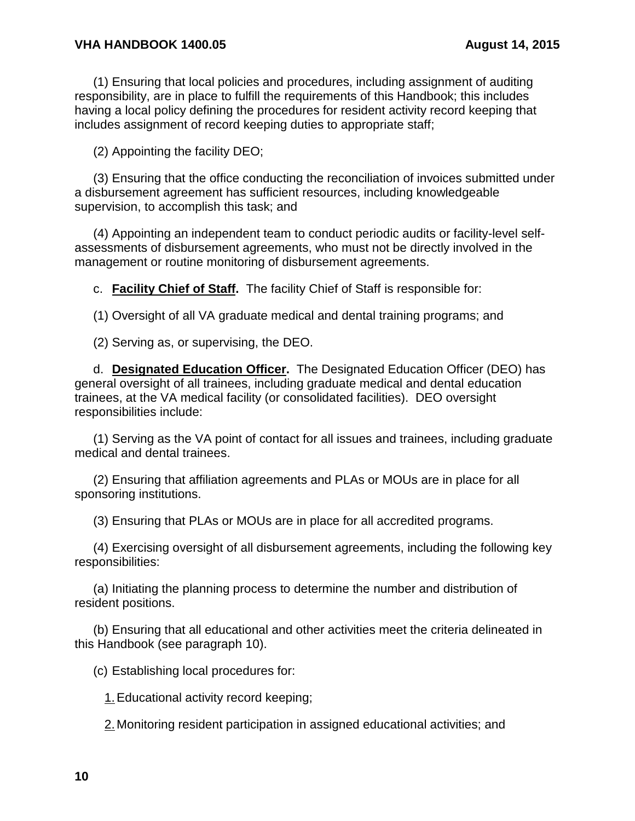(1) Ensuring that local policies and procedures, including assignment of auditing responsibility, are in place to fulfill the requirements of this Handbook; this includes having a local policy defining the procedures for resident activity record keeping that includes assignment of record keeping duties to appropriate staff;

(2) Appointing the facility DEO;

(3) Ensuring that the office conducting the reconciliation of invoices submitted under a disbursement agreement has sufficient resources, including knowledgeable supervision, to accomplish this task; and

(4) Appointing an independent team to conduct periodic audits or facility-level selfassessments of disbursement agreements, who must not be directly involved in the management or routine monitoring of disbursement agreements.

c. **Facility Chief of Staff.** The facility Chief of Staff is responsible for:

(1) Oversight of all VA graduate medical and dental training programs; and

(2) Serving as, or supervising, the DEO.

d. **Designated Education Officer.** The Designated Education Officer (DEO) has general oversight of all trainees, including graduate medical and dental education trainees, at the VA medical facility (or consolidated facilities). DEO oversight responsibilities include:

(1) Serving as the VA point of contact for all issues and trainees, including graduate medical and dental trainees.

(2) Ensuring that affiliation agreements and PLAs or MOUs are in place for all sponsoring institutions.

(3) Ensuring that PLAs or MOUs are in place for all accredited programs.

(4) Exercising oversight of all disbursement agreements, including the following key responsibilities:

(a) Initiating the planning process to determine the number and distribution of resident positions.

(b) Ensuring that all educational and other activities meet the criteria delineated in this Handbook (see paragraph 10).

(c) Establishing local procedures for:

1.Educational activity record keeping;

2. Monitoring resident participation in assigned educational activities; and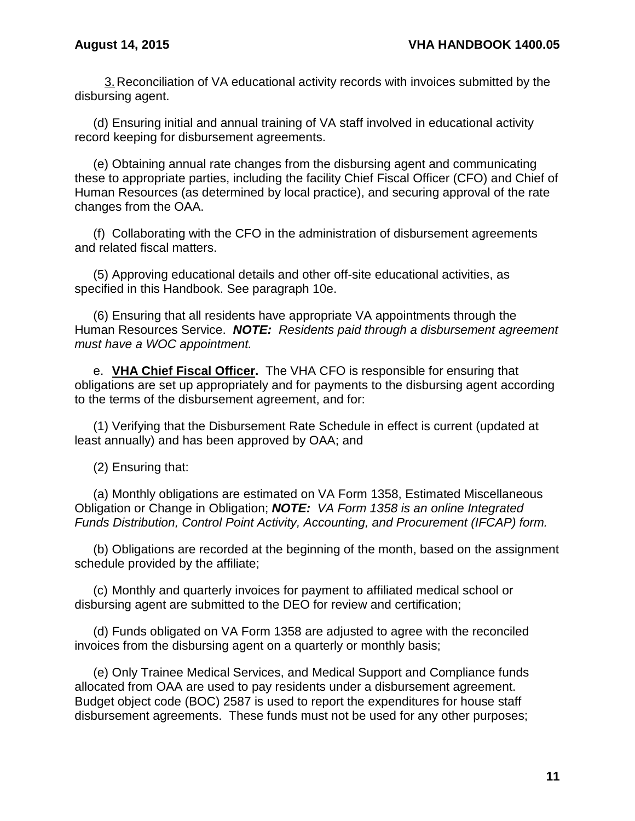3.Reconciliation of VA educational activity records with invoices submitted by the disbursing agent.

(d) Ensuring initial and annual training of VA staff involved in educational activity record keeping for disbursement agreements.

(e) Obtaining annual rate changes from the disbursing agent and communicating these to appropriate parties, including the facility Chief Fiscal Officer (CFO) and Chief of Human Resources (as determined by local practice), and securing approval of the rate changes from the OAA.

(f) Collaborating with the CFO in the administration of disbursement agreements and related fiscal matters.

(5) Approving educational details and other off-site educational activities, as specified in this Handbook. See paragraph 10e.

(6) Ensuring that all residents have appropriate VA appointments through the Human Resources Service. *NOTE: Residents paid through a disbursement agreement must have a WOC appointment.* 

e. **VHA Chief Fiscal Officer.** The VHA CFO is responsible for ensuring that obligations are set up appropriately and for payments to the disbursing agent according to the terms of the disbursement agreement, and for:

(1) Verifying that the Disbursement Rate Schedule in effect is current (updated at least annually) and has been approved by OAA; and

(2) Ensuring that:

(a) Monthly obligations are estimated on VA Form 1358, Estimated Miscellaneous Obligation or Change in Obligation; *NOTE: VA Form 1358 is an online Integrated Funds Distribution, Control Point Activity, Accounting, and Procurement (IFCAP) form.* 

(b) Obligations are recorded at the beginning of the month, based on the assignment schedule provided by the affiliate;

(c) Monthly and quarterly invoices for payment to affiliated medical school or disbursing agent are submitted to the DEO for review and certification;

(d) Funds obligated on VA Form 1358 are adjusted to agree with the reconciled invoices from the disbursing agent on a quarterly or monthly basis;

(e) Only Trainee Medical Services, and Medical Support and Compliance funds allocated from OAA are used to pay residents under a disbursement agreement. Budget object code (BOC) 2587 is used to report the expenditures for house staff disbursement agreements. These funds must not be used for any other purposes;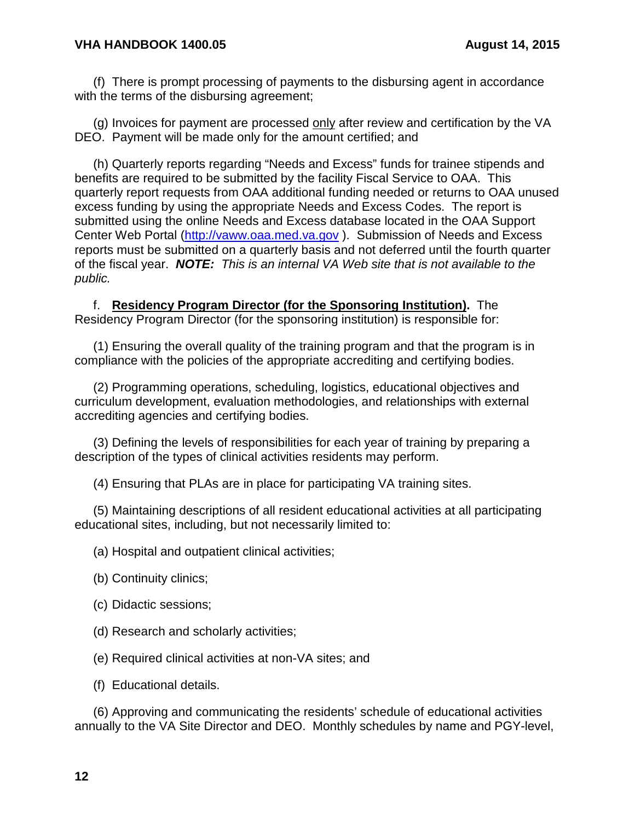#### **VHA HANDBOOK 1400.05 August 14, 2015**

(f) There is prompt processing of payments to the disbursing agent in accordance with the terms of the disbursing agreement;

(g) Invoices for payment are processed only after review and certification by the VA DEO. Payment will be made only for the amount certified; and

(h) Quarterly reports regarding "Needs and Excess" funds for trainee stipends and benefits are required to be submitted by the facility Fiscal Service to OAA. This quarterly report requests from OAA additional funding needed or returns to OAA unused excess funding by using the appropriate Needs and Excess Codes. The report is submitted using the online Needs and Excess database located in the OAA Support Center Web Portal [\(http://vaww.oaa.med.va.gov](http://vaww.oaa.med.va.gov/) ). Submission of Needs and Excess reports must be submitted on a quarterly basis and not deferred until the fourth quarter of the fiscal year. *NOTE: This is an internal VA Web site that is not available to the public.*

f. **Residency Program Director (for the Sponsoring Institution).** The Residency Program Director (for the sponsoring institution) is responsible for:

(1) Ensuring the overall quality of the training program and that the program is in compliance with the policies of the appropriate accrediting and certifying bodies.

(2) Programming operations, scheduling, logistics, educational objectives and curriculum development, evaluation methodologies, and relationships with external accrediting agencies and certifying bodies.

(3) Defining the levels of responsibilities for each year of training by preparing a description of the types of clinical activities residents may perform.

(4) Ensuring that PLAs are in place for participating VA training sites.

(5) Maintaining descriptions of all resident educational activities at all participating educational sites, including, but not necessarily limited to:

(a) Hospital and outpatient clinical activities;

- (b) Continuity clinics;
- (c) Didactic sessions;
- (d) Research and scholarly activities;
- (e) Required clinical activities at non-VA sites; and
- (f) Educational details.

(6) Approving and communicating the residents' schedule of educational activities annually to the VA Site Director and DEO. Monthly schedules by name and PGY-level,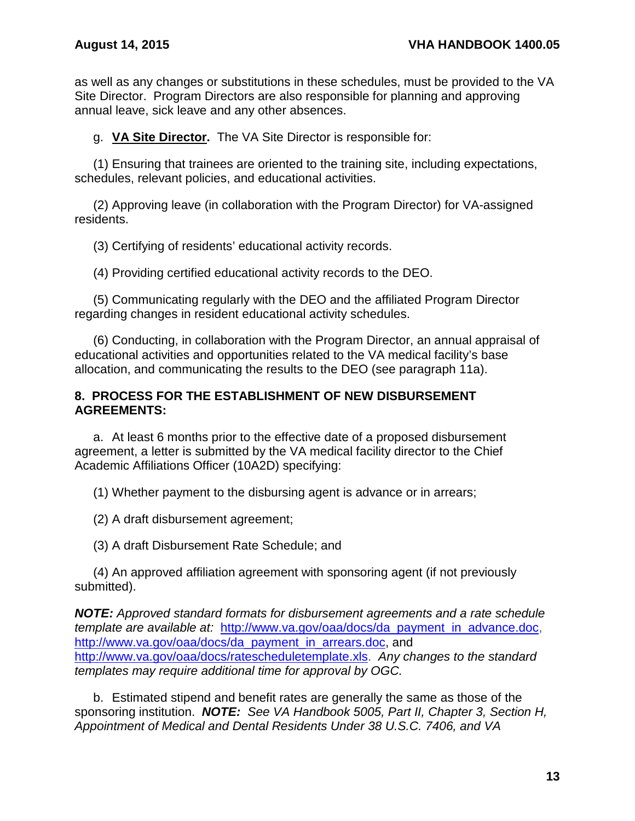as well as any changes or substitutions in these schedules, must be provided to the VA Site Director. Program Directors are also responsible for planning and approving annual leave, sick leave and any other absences.

g. **VA Site Director.** The VA Site Director is responsible for:

(1) Ensuring that trainees are oriented to the training site, including expectations, schedules, relevant policies, and educational activities.

(2) Approving leave (in collaboration with the Program Director) for VA-assigned residents.

(3) Certifying of residents' educational activity records.

(4) Providing certified educational activity records to the DEO.

(5) Communicating regularly with the DEO and the affiliated Program Director regarding changes in resident educational activity schedules.

(6) Conducting, in collaboration with the Program Director, an annual appraisal of educational activities and opportunities related to the VA medical facility's base allocation, and communicating the results to the DEO (see paragraph 11a).

#### <span id="page-14-0"></span>**8. PROCESS FOR THE ESTABLISHMENT OF NEW DISBURSEMENT AGREEMENTS:**

a. At least 6 months prior to the effective date of a proposed disbursement agreement, a letter is submitted by the VA medical facility director to the Chief Academic Affiliations Officer (10A2D) specifying:

(1) Whether payment to the disbursing agent is advance or in arrears;

(2) A draft disbursement agreement;

(3) A draft Disbursement Rate Schedule; and

(4) An approved affiliation agreement with sponsoring agent (if not previously submitted).

*NOTE: Approved standard formats for disbursement agreements and a rate schedule template are available at:* [http://www.va.gov/oaa/docs/da\\_payment\\_in\\_advance.doc,](http://www.va.gov/oaa/docs/da_payment_in_advance.doc) [http://www.va.gov/oaa/docs/da\\_payment\\_in\\_arrears.doc,](http://www.va.gov/oaa/docs/da_payment_in_arrears.doc) and [http://www.va.gov/oaa/docs/ratescheduletemplate.xls.](http://www.va.gov/oaa/docs/ratescheduletemplate.xls) *Any changes to the standard templates may require additional time for approval by OGC.*

b. Estimated stipend and benefit rates are generally the same as those of the sponsoring institution. *NOTE: See VA Handbook 5005, Part II, Chapter 3, Section H, Appointment of Medical and Dental Residents Under 38 U.S.C. 7406, and VA*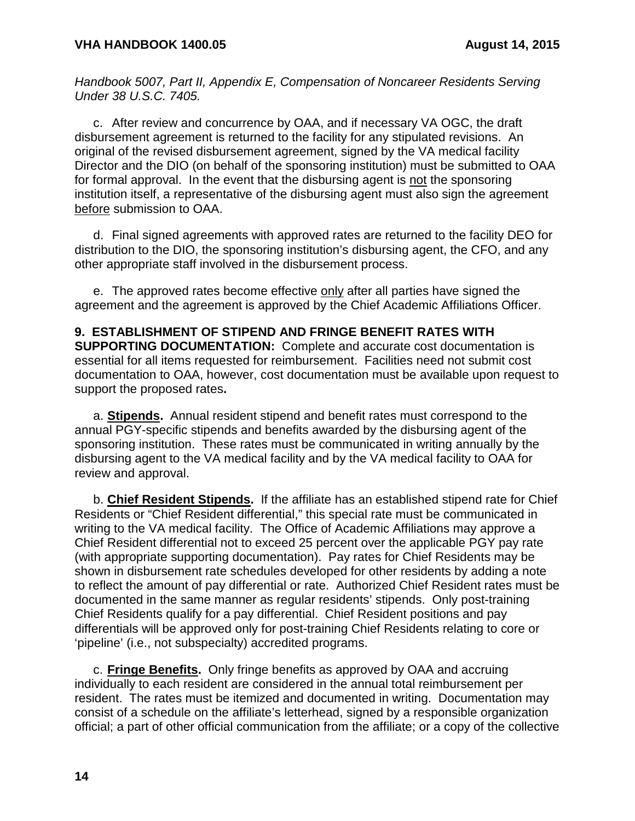*Handbook 5007, Part II, Appendix E, Compensation of Noncareer Residents Serving Under 38 U.S.C. 7405.*

c. After review and concurrence by OAA, and if necessary VA OGC, the draft disbursement agreement is returned to the facility for any stipulated revisions. An original of the revised disbursement agreement, signed by the VA medical facility Director and the DIO (on behalf of the sponsoring institution) must be submitted to OAA for formal approval. In the event that the disbursing agent is not the sponsoring institution itself, a representative of the disbursing agent must also sign the agreement before submission to OAA.

d. Final signed agreements with approved rates are returned to the facility DEO for distribution to the DIO, the sponsoring institution's disbursing agent, the CFO, and any other appropriate staff involved in the disbursement process.

e. The approved rates become effective only after all parties have signed the agreement and the agreement is approved by the Chief Academic Affiliations Officer.

<span id="page-15-0"></span>**9. ESTABLISHMENT OF STIPEND AND FRINGE BENEFIT RATES WITH SUPPORTING DOCUMENTATION:** Complete and accurate cost documentation is essential for all items requested for reimbursement. Facilities need not submit cost documentation to OAA, however, cost documentation must be available upon request to support the proposed rates**.**

a. **Stipends.** Annual resident stipend and benefit rates must correspond to the annual PGY-specific stipends and benefits awarded by the disbursing agent of the sponsoring institution. These rates must be communicated in writing annually by the disbursing agent to the VA medical facility and by the VA medical facility to OAA for review and approval.

b. **Chief Resident Stipends.** If the affiliate has an established stipend rate for Chief Residents or "Chief Resident differential," this special rate must be communicated in writing to the VA medical facility. The Office of Academic Affiliations may approve a Chief Resident differential not to exceed 25 percent over the applicable PGY pay rate (with appropriate supporting documentation). Pay rates for Chief Residents may be shown in disbursement rate schedules developed for other residents by adding a note to reflect the amount of pay differential or rate. Authorized Chief Resident rates must be documented in the same manner as regular residents' stipends. Only post-training Chief Residents qualify for a pay differential. Chief Resident positions and pay differentials will be approved only for post-training Chief Residents relating to core or 'pipeline' (i.e., not subspecialty) accredited programs.

c. **Fringe Benefits.** Only fringe benefits as approved by OAA and accruing individually to each resident are considered in the annual total reimbursement per resident. The rates must be itemized and documented in writing. Documentation may consist of a schedule on the affiliate's letterhead, signed by a responsible organization official; a part of other official communication from the affiliate; or a copy of the collective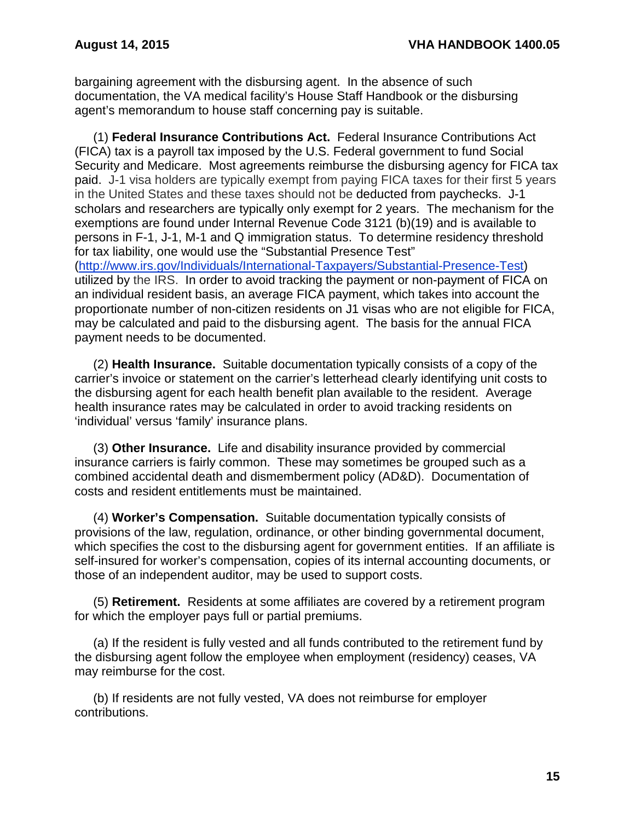bargaining agreement with the disbursing agent. In the absence of such documentation, the VA medical facility's House Staff Handbook or the disbursing agent's memorandum to house staff concerning pay is suitable.

(1) **Federal Insurance Contributions Act.** Federal Insurance Contributions Act (FICA) tax is a payroll tax imposed by the U.S. Federal government to fund Social Security and Medicare. Most agreements reimburse the disbursing agency for FICA tax paid. J-1 visa holders are typically exempt from paying FICA taxes for their first 5 years in the United States and these taxes should not be deducted from paychecks. J-1 scholars and researchers are typically only exempt for 2 years. The mechanism for the exemptions are found under Internal Revenue Code 3121 (b)(19) and is available to persons in F-1, J-1, M-1 and Q immigration status. To determine residency threshold for tax liability, one would use the "Substantial Presence Test" [\(http://www.irs.gov/Individuals/International-Taxpayers/Substantial-Presence-Test\)](http://www.irs.gov/Individuals/International-Taxpayers/Substantial-Presence-Test) utilized by the IRS. In order to avoid tracking the payment or non-payment of FICA on an individual resident basis, an average FICA payment, which takes into account the proportionate number of non-citizen residents on J1 visas who are not eligible for FICA, may be calculated and paid to the disbursing agent. The basis for the annual FICA payment needs to be documented.

(2) **Health Insurance.** Suitable documentation typically consists of a copy of the carrier's invoice or statement on the carrier's letterhead clearly identifying unit costs to the disbursing agent for each health benefit plan available to the resident. Average health insurance rates may be calculated in order to avoid tracking residents on 'individual' versus 'family' insurance plans.

(3) **Other Insurance.** Life and disability insurance provided by commercial insurance carriers is fairly common. These may sometimes be grouped such as a combined accidental death and dismemberment policy (AD&D). Documentation of costs and resident entitlements must be maintained.

(4) **Worker's Compensation.** Suitable documentation typically consists of provisions of the law, regulation, ordinance, or other binding governmental document, which specifies the cost to the disbursing agent for government entities. If an affiliate is self-insured for worker's compensation, copies of its internal accounting documents, or those of an independent auditor, may be used to support costs.

(5) **Retirement.** Residents at some affiliates are covered by a retirement program for which the employer pays full or partial premiums.

(a) If the resident is fully vested and all funds contributed to the retirement fund by the disbursing agent follow the employee when employment (residency) ceases, VA may reimburse for the cost.

(b) If residents are not fully vested, VA does not reimburse for employer contributions.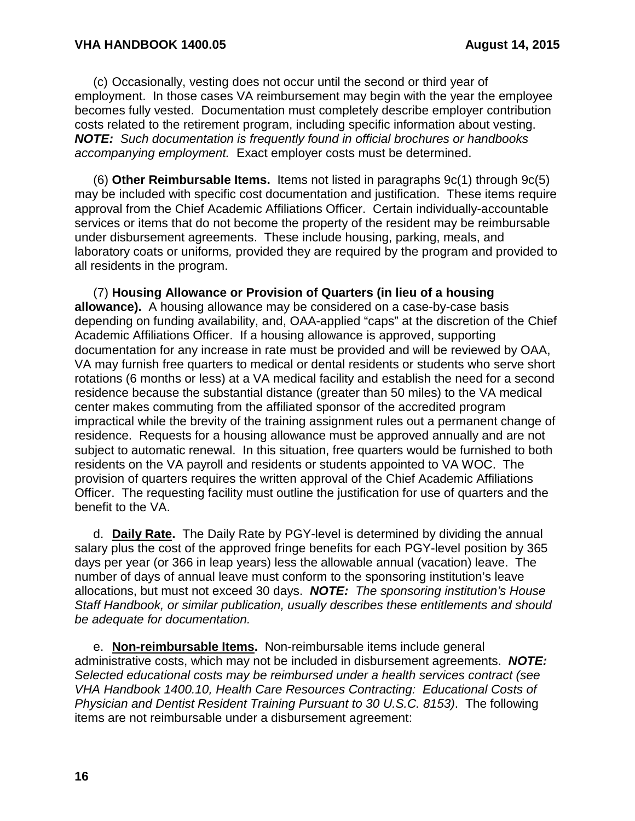(c) Occasionally, vesting does not occur until the second or third year of employment. In those cases VA reimbursement may begin with the year the employee becomes fully vested. Documentation must completely describe employer contribution costs related to the retirement program, including specific information about vesting. *NOTE: Such documentation is frequently found in official brochures or handbooks accompanying employment.* Exact employer costs must be determined.

(6) **Other Reimbursable Items.** Items not listed in paragraphs 9c(1) through 9c(5) may be included with specific cost documentation and justification. These items require approval from the Chief Academic Affiliations Officer. Certain individually-accountable services or items that do not become the property of the resident may be reimbursable under disbursement agreements. These include housing, parking, meals, and laboratory coats or uniforms*,* provided they are required by the program and provided to all residents in the program.

(7) **Housing Allowance or Provision of Quarters (in lieu of a housing allowance).** A housing allowance may be considered on a case-by-case basis depending on funding availability, and, OAA-applied "caps" at the discretion of the Chief Academic Affiliations Officer. If a housing allowance is approved, supporting documentation for any increase in rate must be provided and will be reviewed by OAA, VA may furnish free quarters to medical or dental residents or students who serve short rotations (6 months or less) at a VA medical facility and establish the need for a second residence because the substantial distance (greater than 50 miles) to the VA medical center makes commuting from the affiliated sponsor of the accredited program impractical while the brevity of the training assignment rules out a permanent change of residence. Requests for a housing allowance must be approved annually and are not subject to automatic renewal. In this situation, free quarters would be furnished to both residents on the VA payroll and residents or students appointed to VA WOC. The provision of quarters requires the written approval of the Chief Academic Affiliations Officer. The requesting facility must outline the justification for use of quarters and the benefit to the VA.

d. **Daily Rate.** The Daily Rate by PGY-level is determined by dividing the annual salary plus the cost of the approved fringe benefits for each PGY-level position by 365 days per year (or 366 in leap years) less the allowable annual (vacation) leave. The number of days of annual leave must conform to the sponsoring institution's leave allocations, but must not exceed 30 days. *NOTE: The sponsoring institution's House Staff Handbook, or similar publication, usually describes these entitlements and should be adequate for documentation.*

e. **Non-reimbursable Items.** Non-reimbursable items include general administrative costs, which may not be included in disbursement agreements. *NOTE: Selected educational costs may be reimbursed under a health services contract (see VHA Handbook 1400.10, Health Care Resources Contracting: Educational Costs of Physician and Dentist Resident Training Pursuant to 30 U.S.C. 8153)*. The following items are not reimbursable under a disbursement agreement: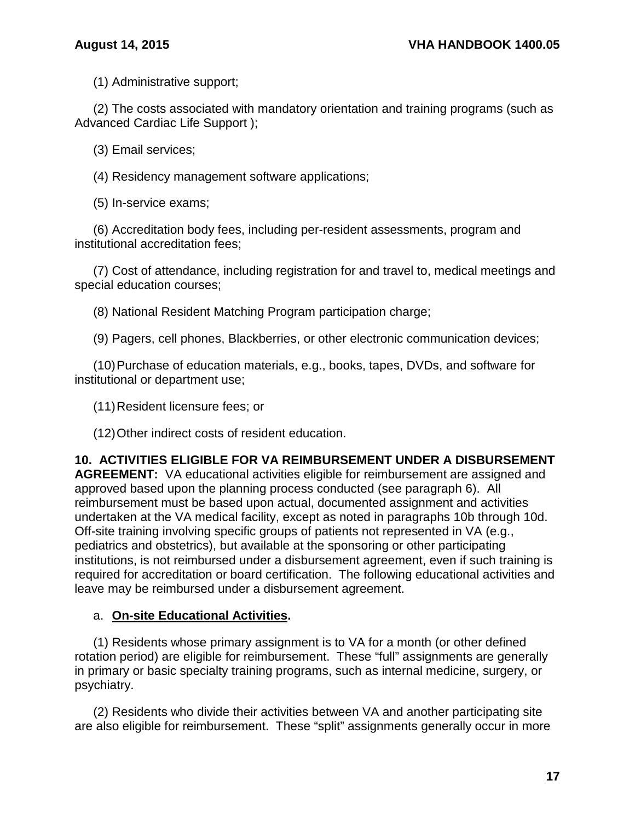(1) Administrative support;

(2) The costs associated with mandatory orientation and training programs (such as Advanced Cardiac Life Support );

(3) Email services;

(4) Residency management software applications;

(5) In-service exams;

(6) Accreditation body fees, including per-resident assessments, program and institutional accreditation fees;

(7) Cost of attendance, including registration for and travel to, medical meetings and special education courses;

(8) National Resident Matching Program participation charge;

(9) Pagers, cell phones, Blackberries, or other electronic communication devices;

(10)Purchase of education materials, e.g., books, tapes, DVDs, and software for institutional or department use;

(11)Resident licensure fees; or

(12)Other indirect costs of resident education.

<span id="page-18-0"></span>**10. ACTIVITIES ELIGIBLE FOR VA REIMBURSEMENT UNDER A DISBURSEMENT AGREEMENT:** VA educational activities eligible for reimbursement are assigned and approved based upon the planning process conducted (see paragraph 6). All reimbursement must be based upon actual, documented assignment and activities undertaken at the VA medical facility, except as noted in paragraphs 10b through 10d. Off-site training involving specific groups of patients not represented in VA (e.g., pediatrics and obstetrics), but available at the sponsoring or other participating institutions, is not reimbursed under a disbursement agreement, even if such training is required for accreditation or board certification. The following educational activities and leave may be reimbursed under a disbursement agreement.

# a. **On-site Educational Activities.**

(1) Residents whose primary assignment is to VA for a month (or other defined rotation period) are eligible for reimbursement. These "full" assignments are generally in primary or basic specialty training programs, such as internal medicine, surgery, or psychiatry.

(2) Residents who divide their activities between VA and another participating site are also eligible for reimbursement. These "split" assignments generally occur in more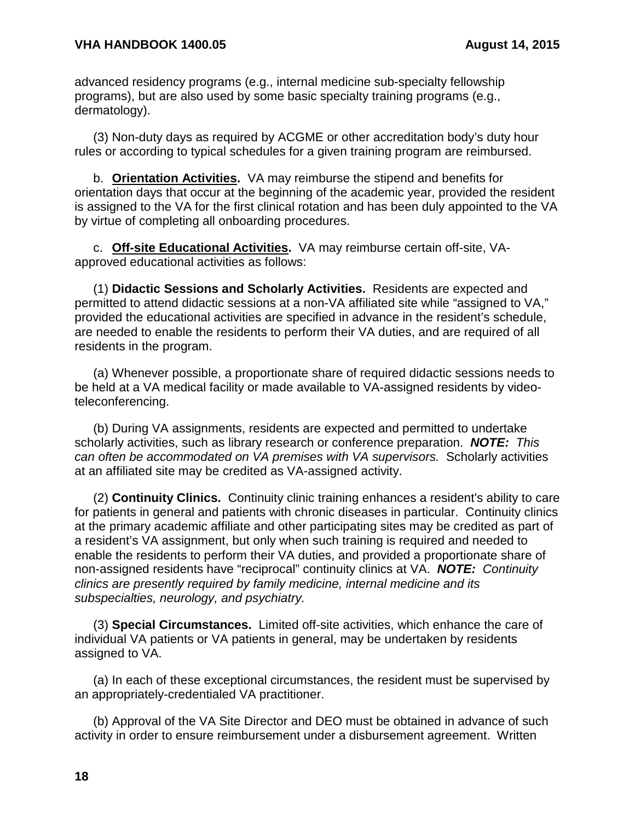advanced residency programs (e.g., internal medicine sub-specialty fellowship programs), but are also used by some basic specialty training programs (e.g., dermatology).

(3) Non-duty days as required by ACGME or other accreditation body's duty hour rules or according to typical schedules for a given training program are reimbursed.

b. **Orientation Activities.** VA may reimburse the stipend and benefits for orientation days that occur at the beginning of the academic year, provided the resident is assigned to the VA for the first clinical rotation and has been duly appointed to the VA by virtue of completing all onboarding procedures.

c. **Off-site Educational Activities.** VA may reimburse certain off-site, VAapproved educational activities as follows:

(1) **Didactic Sessions and Scholarly Activities.** Residents are expected and permitted to attend didactic sessions at a non-VA affiliated site while "assigned to VA," provided the educational activities are specified in advance in the resident's schedule, are needed to enable the residents to perform their VA duties, and are required of all residents in the program.

(a) Whenever possible, a proportionate share of required didactic sessions needs to be held at a VA medical facility or made available to VA-assigned residents by videoteleconferencing.

(b) During VA assignments, residents are expected and permitted to undertake scholarly activities, such as library research or conference preparation. *NOTE: This can often be accommodated on VA premises with VA supervisors.* Scholarly activities at an affiliated site may be credited as VA-assigned activity.

(2) **Continuity Clinics.** Continuity clinic training enhances a resident's ability to care for patients in general and patients with chronic diseases in particular. Continuity clinics at the primary academic affiliate and other participating sites may be credited as part of a resident's VA assignment, but only when such training is required and needed to enable the residents to perform their VA duties, and provided a proportionate share of non-assigned residents have "reciprocal" continuity clinics at VA. *NOTE: Continuity clinics are presently required by family medicine, internal medicine and its subspecialties, neurology, and psychiatry.*

(3) **Special Circumstances.** Limited off-site activities, which enhance the care of individual VA patients or VA patients in general, may be undertaken by residents assigned to VA.

(a) In each of these exceptional circumstances, the resident must be supervised by an appropriately-credentialed VA practitioner.

(b) Approval of the VA Site Director and DEO must be obtained in advance of such activity in order to ensure reimbursement under a disbursement agreement.Written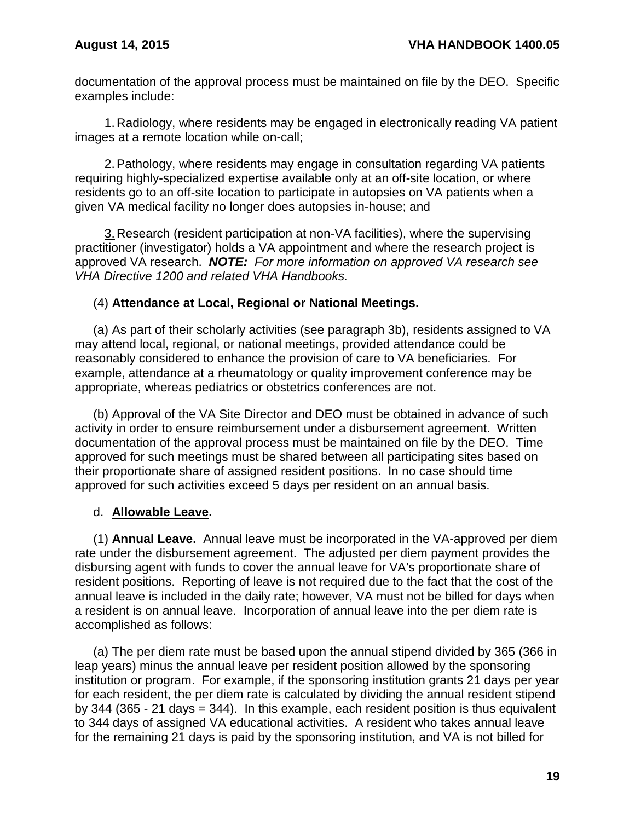documentation of the approval process must be maintained on file by the DEO. Specific examples include:

1.Radiology, where residents may be engaged in electronically reading VA patient images at a remote location while on-call;

2.Pathology, where residents may engage in consultation regarding VA patients requiring highly-specialized expertise available only at an off-site location, or where residents go to an off-site location to participate in autopsies on VA patients when a given VA medical facility no longer does autopsies in-house; and

3.Research (resident participation at non-VA facilities), where the supervising practitioner (investigator) holds a VA appointment and where the research project is approved VA research. *NOTE: For more information on approved VA research see VHA Directive 1200 and related VHA Handbooks.*

### (4) **Attendance at Local, Regional or National Meetings.**

(a) As part of their scholarly activities (see paragraph 3b), residents assigned to VA may attend local, regional, or national meetings, provided attendance could be reasonably considered to enhance the provision of care to VA beneficiaries. For example, attendance at a rheumatology or quality improvement conference may be appropriate, whereas pediatrics or obstetrics conferences are not.

(b) Approval of the VA Site Director and DEO must be obtained in advance of such activity in order to ensure reimbursement under a disbursement agreement. Written documentation of the approval process must be maintained on file by the DEO. Time approved for such meetings must be shared between all participating sites based on their proportionate share of assigned resident positions. In no case should time approved for such activities exceed 5 days per resident on an annual basis.

# d. **Allowable Leave.**

(1) **Annual Leave.** Annual leave must be incorporated in the VA-approved per diem rate under the disbursement agreement. The adjusted per diem payment provides the disbursing agent with funds to cover the annual leave for VA's proportionate share of resident positions. Reporting of leave is not required due to the fact that the cost of the annual leave is included in the daily rate; however, VA must not be billed for days when a resident is on annual leave. Incorporation of annual leave into the per diem rate is accomplished as follows:

(a) The per diem rate must be based upon the annual stipend divided by 365 (366 in leap years) minus the annual leave per resident position allowed by the sponsoring institution or program. For example, if the sponsoring institution grants 21 days per year for each resident, the per diem rate is calculated by dividing the annual resident stipend by 344 (365 - 21 days = 344). In this example, each resident position is thus equivalent to 344 days of assigned VA educational activities. A resident who takes annual leave for the remaining 21 days is paid by the sponsoring institution, and VA is not billed for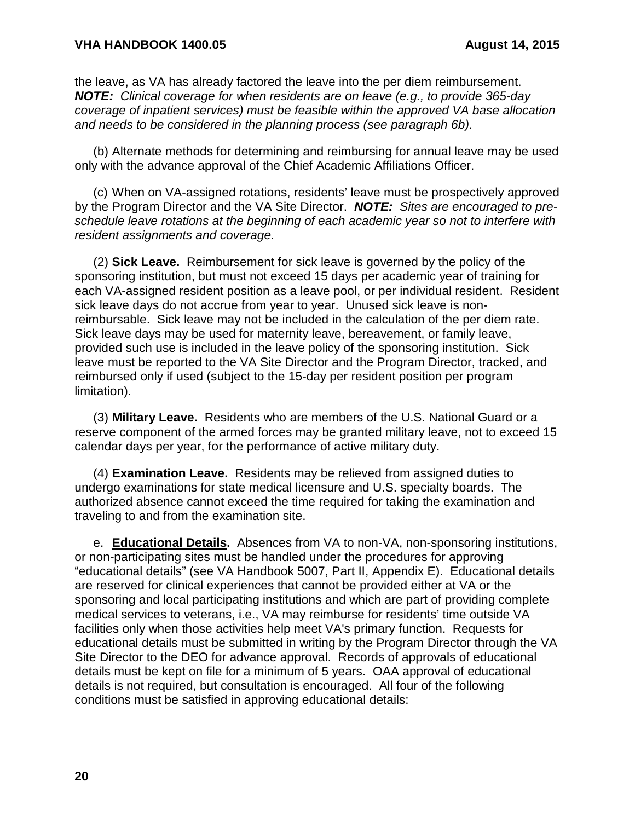the leave, as VA has already factored the leave into the per diem reimbursement. *NOTE: Clinical coverage for when residents are on leave (e.g., to provide 365-day coverage of inpatient services) must be feasible within the approved VA base allocation and needs to be considered in the planning process (see paragraph 6b).*

(b) Alternate methods for determining and reimbursing for annual leave may be used only with the advance approval of the Chief Academic Affiliations Officer.

(c) When on VA-assigned rotations, residents' leave must be prospectively approved by the Program Director and the VA Site Director. *NOTE: Sites are encouraged to preschedule leave rotations at the beginning of each academic year so not to interfere with resident assignments and coverage.*

(2) **Sick Leave.** Reimbursement for sick leave is governed by the policy of the sponsoring institution, but must not exceed 15 days per academic year of training for each VA-assigned resident position as a leave pool, or per individual resident. Resident sick leave days do not accrue from year to year. Unused sick leave is nonreimbursable. Sick leave may not be included in the calculation of the per diem rate. Sick leave days may be used for maternity leave, bereavement, or family leave, provided such use is included in the leave policy of the sponsoring institution. Sick leave must be reported to the VA Site Director and the Program Director, tracked, and reimbursed only if used (subject to the 15-day per resident position per program limitation).

(3) **Military Leave.** Residents who are members of the U.S. National Guard or a reserve component of the armed forces may be granted military leave, not to exceed 15 calendar days per year, for the performance of active military duty.

(4) **Examination Leave.** Residents may be relieved from assigned duties to undergo examinations for state medical licensure and U.S. specialty boards. The authorized absence cannot exceed the time required for taking the examination and traveling to and from the examination site.

e. **Educational Details.** Absences from VA to non-VA, non-sponsoring institutions, or non-participating sites must be handled under the procedures for approving "educational details" (see VA Handbook 5007, Part II, Appendix E). Educational details are reserved for clinical experiences that cannot be provided either at VA or the sponsoring and local participating institutions and which are part of providing complete medical services to veterans, i.e., VA may reimburse for residents' time outside VA facilities only when those activities help meet VA's primary function. Requests for educational details must be submitted in writing by the Program Director through the VA Site Director to the DEO for advance approval. Records of approvals of educational details must be kept on file for a minimum of 5 years. OAA approval of educational details is not required, but consultation is encouraged. All four of the following conditions must be satisfied in approving educational details: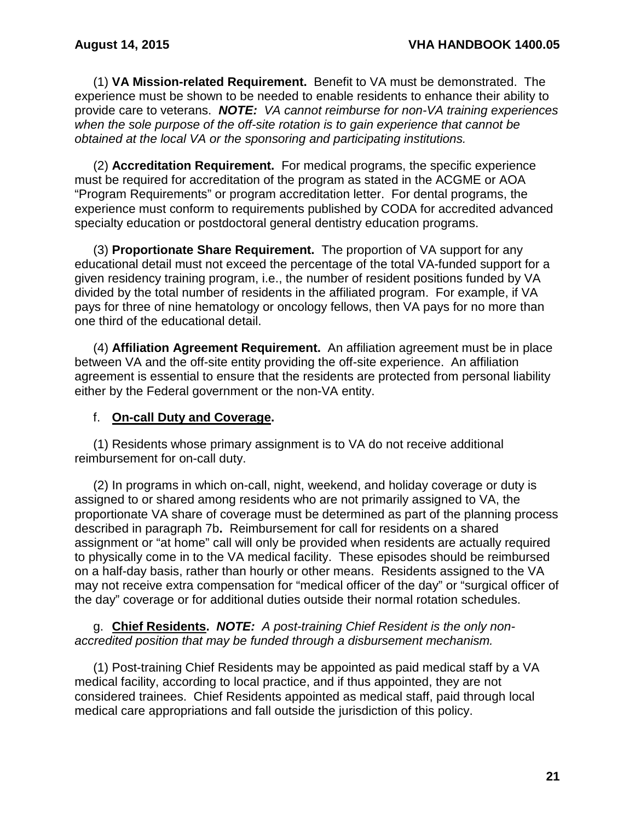(1) **VA Mission-related Requirement.** Benefit to VA must be demonstrated. The experience must be shown to be needed to enable residents to enhance their ability to provide care to veterans. *NOTE: VA cannot reimburse for non-VA training experiences when the sole purpose of the off-site rotation is to gain experience that cannot be obtained at the local VA or the sponsoring and participating institutions.*

(2) **Accreditation Requirement.** For medical programs, the specific experience must be required for accreditation of the program as stated in the ACGME or AOA "Program Requirements" or program accreditation letter. For dental programs, the experience must conform to requirements published by CODA for accredited advanced specialty education or postdoctoral general dentistry education programs.

(3) **Proportionate Share Requirement.** The proportion of VA support for any educational detail must not exceed the percentage of the total VA-funded support for a given residency training program, i.e., the number of resident positions funded by VA divided by the total number of residents in the affiliated program. For example, if VA pays for three of nine hematology or oncology fellows, then VA pays for no more than one third of the educational detail.

(4) **Affiliation Agreement Requirement.** An affiliation agreement must be in place between VA and the off-site entity providing the off-site experience. An affiliation agreement is essential to ensure that the residents are protected from personal liability either by the Federal government or the non-VA entity.

# f. **On-call Duty and Coverage.**

(1) Residents whose primary assignment is to VA do not receive additional reimbursement for on-call duty.

(2) In programs in which on-call, night, weekend, and holiday coverage or duty is assigned to or shared among residents who are not primarily assigned to VA, the proportionate VA share of coverage must be determined as part of the planning process described in paragraph 7b**.** Reimbursement for call for residents on a shared assignment or "at home" call will only be provided when residents are actually required to physically come in to the VA medical facility. These episodes should be reimbursed on a half-day basis, rather than hourly or other means. Residents assigned to the VA may not receive extra compensation for "medical officer of the day" or "surgical officer of the day" coverage or for additional duties outside their normal rotation schedules.

g. **Chief Residents.** *NOTE: A post-training Chief Resident is the only nonaccredited position that may be funded through a disbursement mechanism.*

(1) Post-training Chief Residents may be appointed as paid medical staff by a VA medical facility, according to local practice, and if thus appointed, they are not considered trainees. Chief Residents appointed as medical staff, paid through local medical care appropriations and fall outside the jurisdiction of this policy.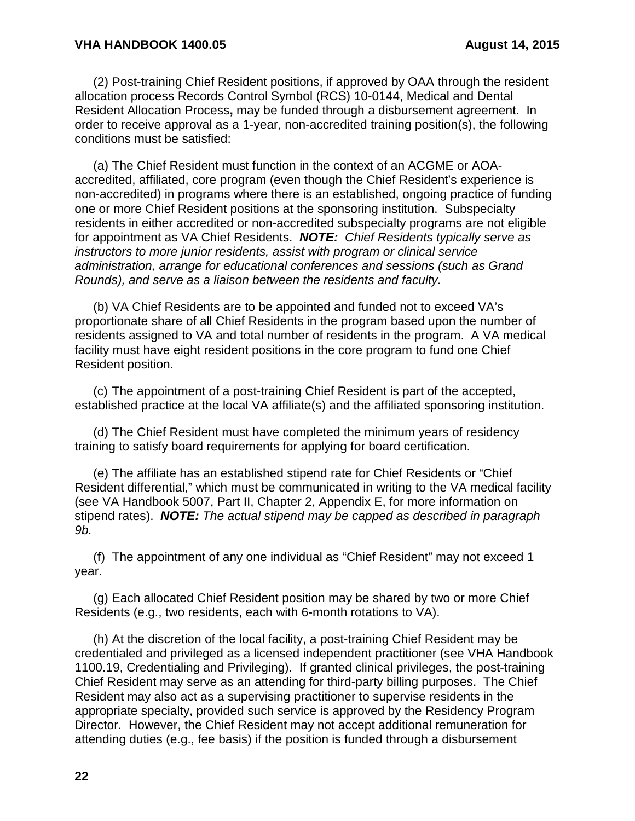(2) Post-training Chief Resident positions, if approved by OAA through the resident allocation process Records Control Symbol (RCS) 10-0144, Medical and Dental Resident Allocation Process**,** may be funded through a disbursement agreement. In order to receive approval as a 1-year, non-accredited training position(s), the following conditions must be satisfied:

(a) The Chief Resident must function in the context of an ACGME or AOAaccredited, affiliated, core program (even though the Chief Resident's experience is non-accredited) in programs where there is an established, ongoing practice of funding one or more Chief Resident positions at the sponsoring institution. Subspecialty residents in either accredited or non-accredited subspecialty programs are not eligible for appointment as VA Chief Residents. *NOTE: Chief Residents typically serve as instructors to more junior residents, assist with program or clinical service administration, arrange for educational conferences and sessions (such as Grand Rounds), and serve as a liaison between the residents and faculty.*

(b) VA Chief Residents are to be appointed and funded not to exceed VA's proportionate share of all Chief Residents in the program based upon the number of residents assigned to VA and total number of residents in the program. A VA medical facility must have eight resident positions in the core program to fund one Chief Resident position.

(c) The appointment of a post-training Chief Resident is part of the accepted, established practice at the local VA affiliate(s) and the affiliated sponsoring institution.

(d) The Chief Resident must have completed the minimum years of residency training to satisfy board requirements for applying for board certification.

(e) The affiliate has an established stipend rate for Chief Residents or "Chief Resident differential," which must be communicated in writing to the VA medical facility (see VA Handbook 5007, Part II, Chapter 2, Appendix E, for more information on stipend rates). *NOTE: The actual stipend may be capped as described in paragraph 9b.*

(f) The appointment of any one individual as "Chief Resident" may not exceed 1 year.

(g) Each allocated Chief Resident position may be shared by two or more Chief Residents (e.g., two residents, each with 6-month rotations to VA).

(h) At the discretion of the local facility, a post-training Chief Resident may be credentialed and privileged as a licensed independent practitioner (see VHA Handbook 1100.19, Credentialing and Privileging). If granted clinical privileges, the post-training Chief Resident may serve as an attending for third-party billing purposes. The Chief Resident may also act as a supervising practitioner to supervise residents in the appropriate specialty, provided such service is approved by the Residency Program Director. However, the Chief Resident may not accept additional remuneration for attending duties (e.g., fee basis) if the position is funded through a disbursement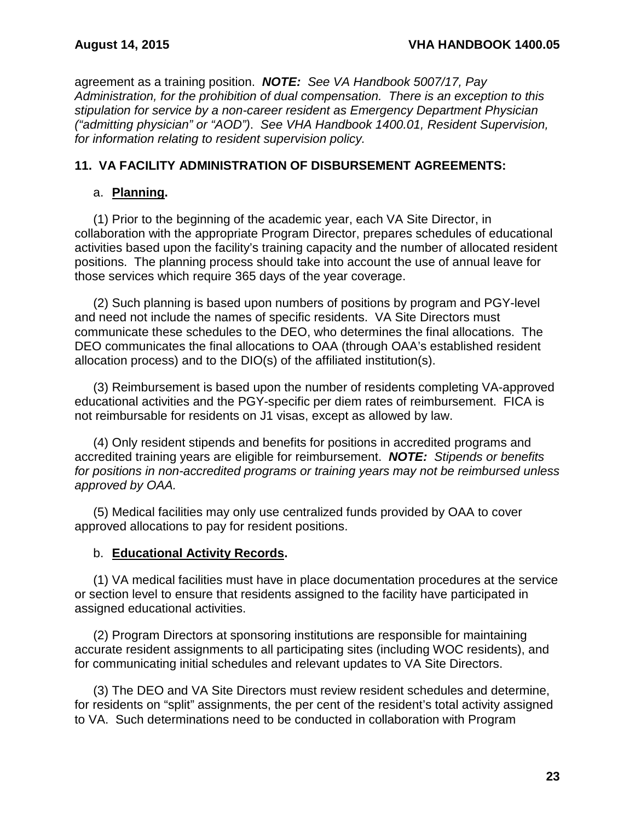agreement as a training position. *NOTE: See VA Handbook 5007/17, Pay Administration, for the prohibition of dual compensation. There is an exception to this stipulation for service by a non-career resident as Emergency Department Physician ("admitting physician" or "AOD")*. *See VHA Handbook 1400.01, Resident Supervision, for information relating to resident supervision policy.*

### <span id="page-24-0"></span>**11. VA FACILITY ADMINISTRATION OF DISBURSEMENT AGREEMENTS:**

### a. **Planning.**

(1) Prior to the beginning of the academic year, each VA Site Director, in collaboration with the appropriate Program Director, prepares schedules of educational activities based upon the facility's training capacity and the number of allocated resident positions. The planning process should take into account the use of annual leave for those services which require 365 days of the year coverage.

(2) Such planning is based upon numbers of positions by program and PGY-level and need not include the names of specific residents. VA Site Directors must communicate these schedules to the DEO, who determines the final allocations. The DEO communicates the final allocations to OAA (through OAA's established resident allocation process) and to the DIO(s) of the affiliated institution(s).

(3) Reimbursement is based upon the number of residents completing VA-approved educational activities and the PGY-specific per diem rates of reimbursement. FICA is not reimbursable for residents on J1 visas, except as allowed by law.

(4) Only resident stipends and benefits for positions in accredited programs and accredited training years are eligible for reimbursement. *NOTE: Stipends or benefits for positions in non-accredited programs or training years may not be reimbursed unless approved by OAA.*

(5) Medical facilities may only use centralized funds provided by OAA to cover approved allocations to pay for resident positions.

#### b. **Educational Activity Records.**

(1) VA medical facilities must have in place documentation procedures at the service or section level to ensure that residents assigned to the facility have participated in assigned educational activities.

(2) Program Directors at sponsoring institutions are responsible for maintaining accurate resident assignments to all participating sites (including WOC residents), and for communicating initial schedules and relevant updates to VA Site Directors.

(3) The DEO and VA Site Directors must review resident schedules and determine, for residents on "split" assignments, the per cent of the resident's total activity assigned to VA. Such determinations need to be conducted in collaboration with Program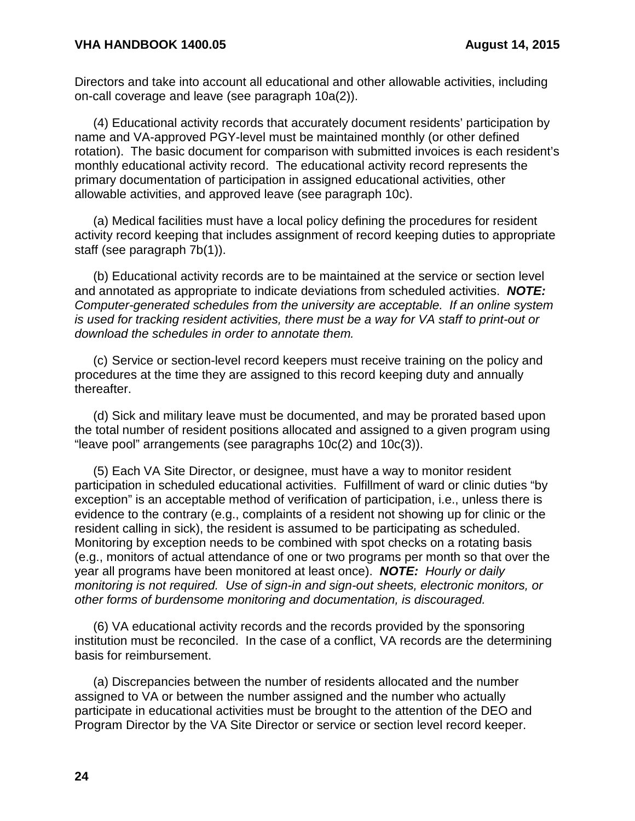Directors and take into account all educational and other allowable activities, including on-call coverage and leave (see paragraph 10a(2)).

(4) Educational activity records that accurately document residents' participation by name and VA-approved PGY-level must be maintained monthly (or other defined rotation). The basic document for comparison with submitted invoices is each resident's monthly educational activity record. The educational activity record represents the primary documentation of participation in assigned educational activities, other allowable activities, and approved leave (see paragraph 10c).

(a) Medical facilities must have a local policy defining the procedures for resident activity record keeping that includes assignment of record keeping duties to appropriate staff (see paragraph 7b(1)).

(b) Educational activity records are to be maintained at the service or section level and annotated as appropriate to indicate deviations from scheduled activities. *NOTE: Computer-generated schedules from the university are acceptable. If an online system is used for tracking resident activities, there must be a way for VA staff to print-out or download the schedules in order to annotate them.*

(c) Service or section-level record keepers must receive training on the policy and procedures at the time they are assigned to this record keeping duty and annually thereafter.

(d) Sick and military leave must be documented, and may be prorated based upon the total number of resident positions allocated and assigned to a given program using "leave pool" arrangements (see paragraphs 10c(2) and 10c(3)).

(5) Each VA Site Director, or designee, must have a way to monitor resident participation in scheduled educational activities. Fulfillment of ward or clinic duties "by exception" is an acceptable method of verification of participation, i.e., unless there is evidence to the contrary (e.g., complaints of a resident not showing up for clinic or the resident calling in sick), the resident is assumed to be participating as scheduled. Monitoring by exception needs to be combined with spot checks on a rotating basis (e.g., monitors of actual attendance of one or two programs per month so that over the year all programs have been monitored at least once). *NOTE: Hourly or daily monitoring is not required. Use of sign-in and sign-out sheets, electronic monitors, or other forms of burdensome monitoring and documentation, is discouraged.*

(6) VA educational activity records and the records provided by the sponsoring institution must be reconciled. In the case of a conflict, VA records are the determining basis for reimbursement.

(a) Discrepancies between the number of residents allocated and the number assigned to VA or between the number assigned and the number who actually participate in educational activities must be brought to the attention of the DEO and Program Director by the VA Site Director or service or section level record keeper.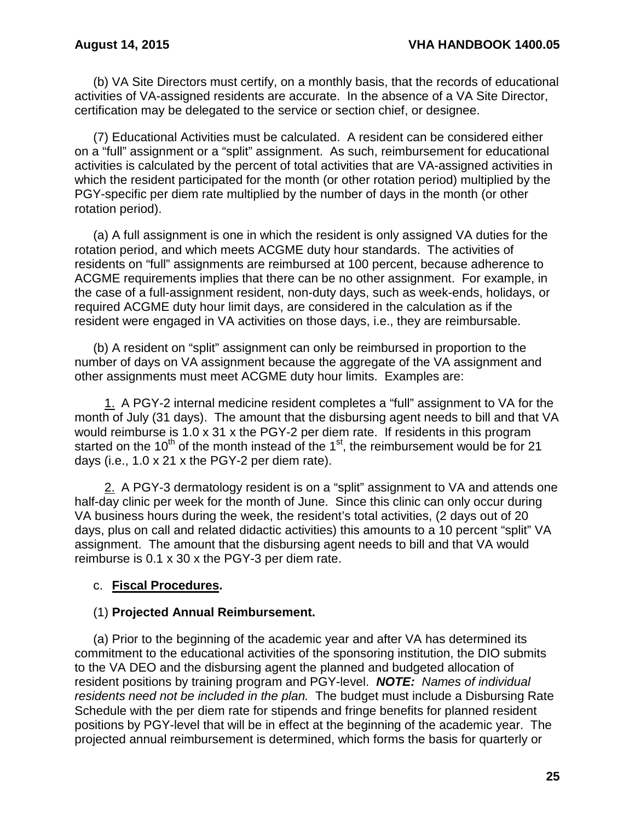(b) VA Site Directors must certify, on a monthly basis, that the records of educational activities of VA-assigned residents are accurate. In the absence of a VA Site Director, certification may be delegated to the service or section chief, or designee.

(7) Educational Activities must be calculated. A resident can be considered either on a "full" assignment or a "split" assignment. As such, reimbursement for educational activities is calculated by the percent of total activities that are VA-assigned activities in which the resident participated for the month (or other rotation period) multiplied by the PGY-specific per diem rate multiplied by the number of days in the month (or other rotation period).

(a) A full assignment is one in which the resident is only assigned VA duties for the rotation period, and which meets ACGME duty hour standards. The activities of residents on "full" assignments are reimbursed at 100 percent, because adherence to ACGME requirements implies that there can be no other assignment. For example, in the case of a full-assignment resident, non-duty days, such as week-ends, holidays, or required ACGME duty hour limit days, are considered in the calculation as if the resident were engaged in VA activities on those days, i.e., they are reimbursable.

(b) A resident on "split" assignment can only be reimbursed in proportion to the number of days on VA assignment because the aggregate of the VA assignment and other assignments must meet ACGME duty hour limits. Examples are:

1. A PGY-2 internal medicine resident completes a "full" assignment to VA for the month of July (31 days). The amount that the disbursing agent needs to bill and that VA would reimburse is 1.0 x 31 x the PGY-2 per diem rate. If residents in this program started on the 10<sup>th</sup> of the month instead of the 1<sup>st</sup>, the reimbursement would be for 21 days (i.e., 1.0 x 21 x the PGY-2 per diem rate).

2. A PGY-3 dermatology resident is on a "split" assignment to VA and attends one half-day clinic per week for the month of June. Since this clinic can only occur during VA business hours during the week, the resident's total activities, (2 days out of 20 days, plus on call and related didactic activities) this amounts to a 10 percent "split" VA assignment. The amount that the disbursing agent needs to bill and that VA would reimburse is 0.1 x 30 x the PGY-3 per diem rate.

# c. **Fiscal Procedures.**

#### (1) **Projected Annual Reimbursement.**

(a) Prior to the beginning of the academic year and after VA has determined its commitment to the educational activities of the sponsoring institution, the DIO submits to the VA DEO and the disbursing agent the planned and budgeted allocation of resident positions by training program and PGY-level. *NOTE: Names of individual residents need not be included in the plan.* The budget must include a Disbursing Rate Schedule with the per diem rate for stipends and fringe benefits for planned resident positions by PGY-level that will be in effect at the beginning of the academic year. The projected annual reimbursement is determined, which forms the basis for quarterly or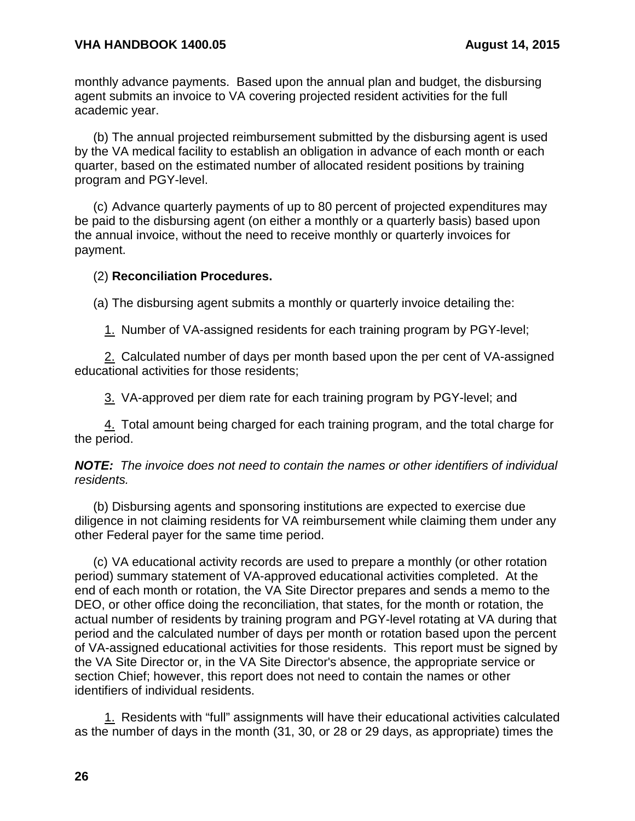monthly advance payments. Based upon the annual plan and budget, the disbursing agent submits an invoice to VA covering projected resident activities for the full academic year.

(b) The annual projected reimbursement submitted by the disbursing agent is used by the VA medical facility to establish an obligation in advance of each month or each quarter, based on the estimated number of allocated resident positions by training program and PGY-level.

(c) Advance quarterly payments of up to 80 percent of projected expenditures may be paid to the disbursing agent (on either a monthly or a quarterly basis) based upon the annual invoice, without the need to receive monthly or quarterly invoices for payment.

#### (2) **Reconciliation Procedures.**

(a) The disbursing agent submits a monthly or quarterly invoice detailing the:

1. Number of VA-assigned residents for each training program by PGY-level;

2. Calculated number of days per month based upon the per cent of VA-assigned educational activities for those residents;

3. VA-approved per diem rate for each training program by PGY-level; and

4. Total amount being charged for each training program, and the total charge for the period.

*NOTE: The invoice does not need to contain the names or other identifiers of individual residents.*

(b) Disbursing agents and sponsoring institutions are expected to exercise due diligence in not claiming residents for VA reimbursement while claiming them under any other Federal payer for the same time period.

(c) VA educational activity records are used to prepare a monthly (or other rotation period) summary statement of VA-approved educational activities completed. At the end of each month or rotation, the VA Site Director prepares and sends a memo to the DEO, or other office doing the reconciliation, that states, for the month or rotation, the actual number of residents by training program and PGY-level rotating at VA during that period and the calculated number of days per month or rotation based upon the percent of VA-assigned educational activities for those residents. This report must be signed by the VA Site Director or, in the VA Site Director's absence, the appropriate service or section Chief; however, this report does not need to contain the names or other identifiers of individual residents.

1. Residents with "full" assignments will have their educational activities calculated as the number of days in the month (31, 30, or 28 or 29 days, as appropriate) times the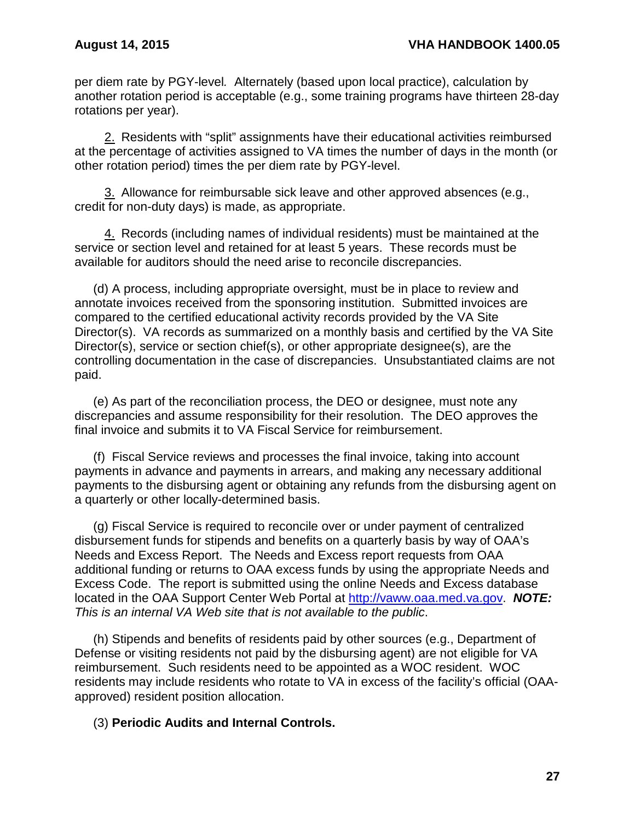per diem rate by PGY-level*.* Alternately (based upon local practice), calculation by another rotation period is acceptable (e.g., some training programs have thirteen 28-day rotations per year).

2. Residents with "split" assignments have their educational activities reimbursed at the percentage of activities assigned to VA times the number of days in the month (or other rotation period) times the per diem rate by PGY-level.

3. Allowance for reimbursable sick leave and other approved absences (e.g., credit for non-duty days) is made, as appropriate.

4. Records (including names of individual residents) must be maintained at the service or section level and retained for at least 5 years. These records must be available for auditors should the need arise to reconcile discrepancies.

(d) A process, including appropriate oversight, must be in place to review and annotate invoices received from the sponsoring institution. Submitted invoices are compared to the certified educational activity records provided by the VA Site Director(s). VA records as summarized on a monthly basis and certified by the VA Site Director(s), service or section chief(s), or other appropriate designee(s), are the controlling documentation in the case of discrepancies. Unsubstantiated claims are not paid.

(e) As part of the reconciliation process, the DEO or designee, must note any discrepancies and assume responsibility for their resolution. The DEO approves the final invoice and submits it to VA Fiscal Service for reimbursement.

(f) Fiscal Service reviews and processes the final invoice, taking into account payments in advance and payments in arrears, and making any necessary additional payments to the disbursing agent or obtaining any refunds from the disbursing agent on a quarterly or other locally-determined basis.

(g) Fiscal Service is required to reconcile over or under payment of centralized disbursement funds for stipends and benefits on a quarterly basis by way of OAA's Needs and Excess Report. The Needs and Excess report requests from OAA additional funding or returns to OAA excess funds by using the appropriate Needs and Excess Code. The report is submitted using the online Needs and Excess database located in the OAA Support Center Web Portal at [http://vaww.oaa.med.va.gov.](http://vaww.oaa.med.va.gov/) *NOTE: This is an internal VA Web site that is not available to the public*.

(h) Stipends and benefits of residents paid by other sources (e.g., Department of Defense or visiting residents not paid by the disbursing agent) are not eligible for VA reimbursement. Such residents need to be appointed as a WOC resident. WOC residents may include residents who rotate to VA in excess of the facility's official (OAAapproved) resident position allocation.

# (3) **Periodic Audits and Internal Controls.**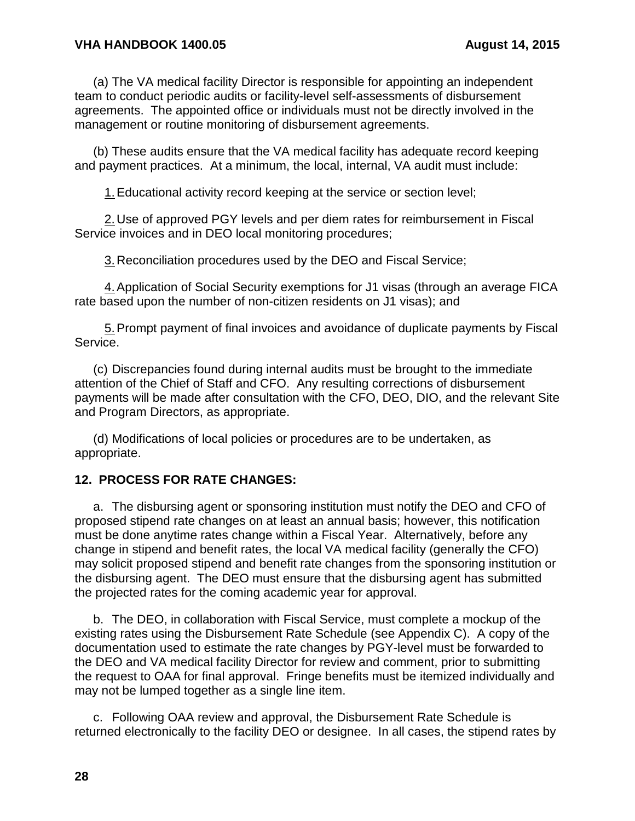(a) The VA medical facility Director is responsible for appointing an independent team to conduct periodic audits or facility-level self-assessments of disbursement agreements. The appointed office or individuals must not be directly involved in the management or routine monitoring of disbursement agreements.

(b) These audits ensure that the VA medical facility has adequate record keeping and payment practices. At a minimum, the local, internal, VA audit must include:

1.Educational activity record keeping at the service or section level;

2.Use of approved PGY levels and per diem rates for reimbursement in Fiscal Service invoices and in DEO local monitoring procedures;

3.Reconciliation procedures used by the DEO and Fiscal Service;

4.Application of Social Security exemptions for J1 visas (through an average FICA rate based upon the number of non-citizen residents on J1 visas); and

5.Prompt payment of final invoices and avoidance of duplicate payments by Fiscal Service.

(c) Discrepancies found during internal audits must be brought to the immediate attention of the Chief of Staff and CFO. Any resulting corrections of disbursement payments will be made after consultation with the CFO, DEO, DIO, and the relevant Site and Program Directors, as appropriate.

(d) Modifications of local policies or procedures are to be undertaken, as appropriate.

#### <span id="page-29-0"></span>**12. PROCESS FOR RATE CHANGES:**

a. The disbursing agent or sponsoring institution must notify the DEO and CFO of proposed stipend rate changes on at least an annual basis; however, this notification must be done anytime rates change within a Fiscal Year. Alternatively, before any change in stipend and benefit rates, the local VA medical facility (generally the CFO) may solicit proposed stipend and benefit rate changes from the sponsoring institution or the disbursing agent. The DEO must ensure that the disbursing agent has submitted the projected rates for the coming academic year for approval.

b. The DEO, in collaboration with Fiscal Service, must complete a mockup of the existing rates using the Disbursement Rate Schedule (see Appendix C). A copy of the documentation used to estimate the rate changes by PGY-level must be forwarded to the DEO and VA medical facility Director for review and comment, prior to submitting the request to OAA for final approval. Fringe benefits must be itemized individually and may not be lumped together as a single line item.

c. Following OAA review and approval, the Disbursement Rate Schedule is returned electronically to the facility DEO or designee. In all cases, the stipend rates by